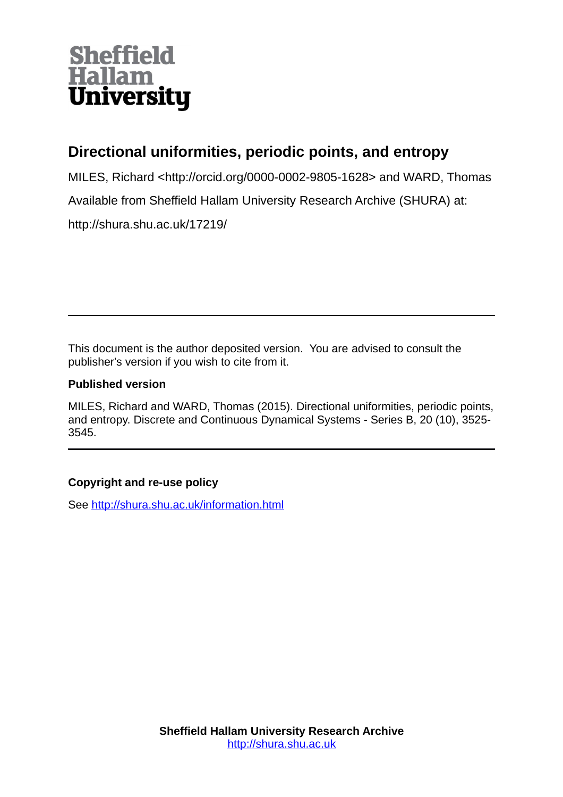# **Sheffield Hallam University**

## **Directional uniformities, periodic points, and entropy**

MILES, Richard <http://orcid.org/0000-0002-9805-1628> and WARD, Thomas

Available from Sheffield Hallam University Research Archive (SHURA) at:

http://shura.shu.ac.uk/17219/

This document is the author deposited version. You are advised to consult the publisher's version if you wish to cite from it.

### **Published version**

MILES, Richard and WARD, Thomas (2015). Directional uniformities, periodic points, and entropy. Discrete and Continuous Dynamical Systems - Series B, 20 (10), 3525- 3545.

## **Copyright and re-use policy**

See<http://shura.shu.ac.uk/information.html>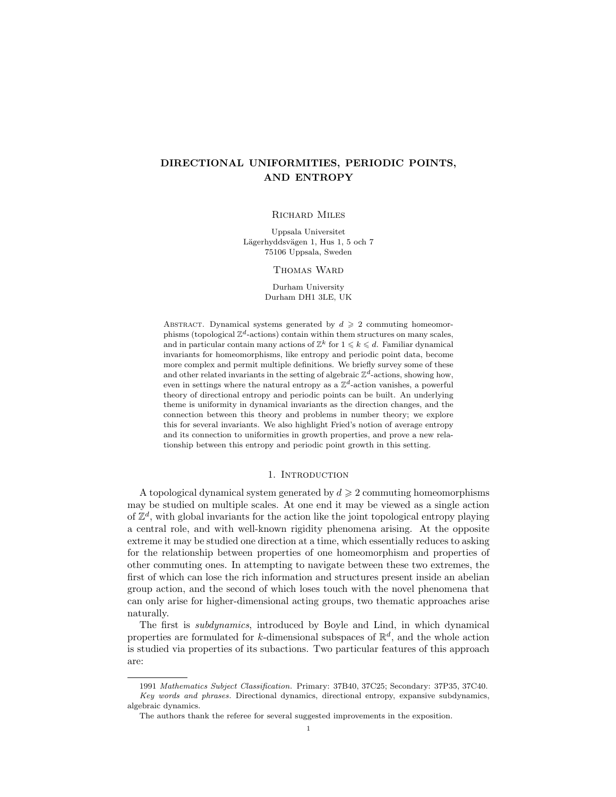#### DIRECTIONAL UNIFORMITIES, PERIODIC POINTS, AND ENTROPY

#### Richard Miles

Uppsala Universitet Lägerhyddsvägen 1, Hus 1, 5 och 7 75106 Uppsala, Sweden

#### Thomas Ward

Durham University Durham DH1 3LE, UK

ABSTRACT. Dynamical systems generated by  $d \geq 2$  commuting homeomorphisms (topological  $\mathbb{Z}^d$ -actions) contain within them structures on many scales, and in particular contain many actions of  $\mathbb{Z}^k$  for  $1 \leq k \leq d$ . Familiar dynamical invariants for homeomorphisms, like entropy and periodic point data, become more complex and permit multiple definitions. We briefly survey some of these and other related invariants in the setting of algebraic  $\mathbb{Z}^d$ -actions, showing how, even in settings where the natural entropy as a  $\mathbb{Z}^d$ -action vanishes, a powerful theory of directional entropy and periodic points can be built. An underlying theme is uniformity in dynamical invariants as the direction changes, and the connection between this theory and problems in number theory; we explore this for several invariants. We also highlight Fried's notion of average entropy and its connection to uniformities in growth properties, and prove a new relationship between this entropy and periodic point growth in this setting.

#### 1. INTRODUCTION

A topological dynamical system generated by  $d \geq 2$  commuting homeomorphisms may be studied on multiple scales. At one end it may be viewed as a single action of  $\mathbb{Z}^d$ , with global invariants for the action like the joint topological entropy playing a central role, and with well-known rigidity phenomena arising. At the opposite extreme it may be studied one direction at a time, which essentially reduces to asking for the relationship between properties of one homeomorphism and properties of other commuting ones. In attempting to navigate between these two extremes, the first of which can lose the rich information and structures present inside an abelian group action, and the second of which loses touch with the novel phenomena that can only arise for higher-dimensional acting groups, two thematic approaches arise naturally.

The first is subdynamics, introduced by Boyle and Lind, in which dynamical properties are formulated for k-dimensional subspaces of  $\mathbb{R}^d$ , and the whole action is studied via properties of its subactions. Two particular features of this approach are:

<sup>1991</sup> Mathematics Subject Classification. Primary: 37B40, 37C25; Secondary: 37P35, 37C40. Key words and phrases. Directional dynamics, directional entropy, expansive subdynamics, algebraic dynamics.

The authors thank the referee for several suggested improvements in the exposition.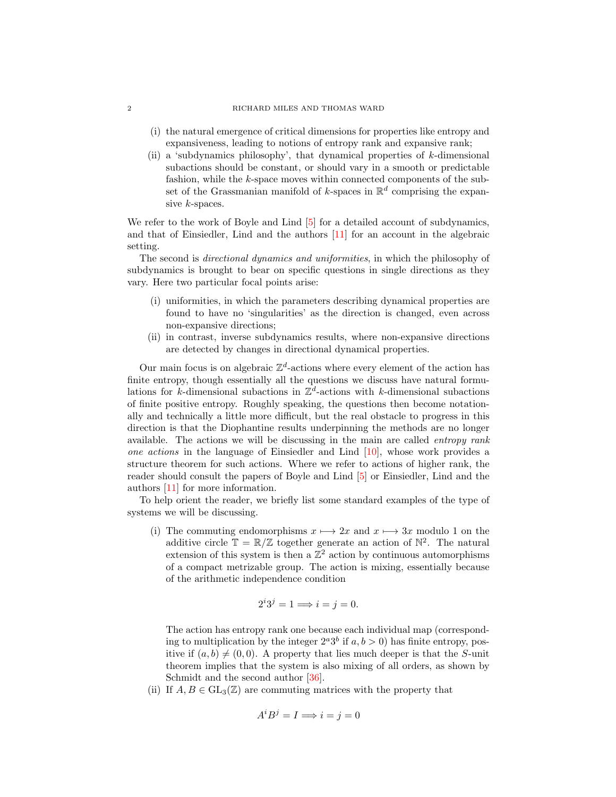#### 2 RICHARD MILES AND THOMAS WARD

- (i) the natural emergence of critical dimensions for properties like entropy and expansiveness, leading to notions of entropy rank and expansive rank;
- (ii) a 'subdynamics philosophy', that dynamical properties of  $k$ -dimensional subactions should be constant, or should vary in a smooth or predictable fashion, while the k-space moves within connected components of the subset of the Grassmanian manifold of k-spaces in  $\mathbb{R}^d$  comprising the expansive k-spaces.

We refer to the work of Boyle and Lind [\[5\]](#page-20-0) for a detailed account of subdynamics, and that of Einsiedler, Lind and the authors [\[11\]](#page-20-1) for an account in the algebraic setting.

The second is directional dynamics and uniformities, in which the philosophy of subdynamics is brought to bear on specific questions in single directions as they vary. Here two particular focal points arise:

- (i) uniformities, in which the parameters describing dynamical properties are found to have no 'singularities' as the direction is changed, even across non-expansive directions;
- (ii) in contrast, inverse subdynamics results, where non-expansive directions are detected by changes in directional dynamical properties.

Our main focus is on algebraic  $\mathbb{Z}^d$ -actions where every element of the action has finite entropy, though essentially all the questions we discuss have natural formulations for k-dimensional subactions in  $\mathbb{Z}^d$ -actions with k-dimensional subactions of finite positive entropy. Roughly speaking, the questions then become notationally and technically a little more difficult, but the real obstacle to progress in this direction is that the Diophantine results underpinning the methods are no longer available. The actions we will be discussing in the main are called entropy rank one actions in the language of Einsiedler and Lind  $[10]$ , whose work provides a structure theorem for such actions. Where we refer to actions of higher rank, the reader should consult the papers of Boyle and Lind [\[5\]](#page-20-0) or Einsiedler, Lind and the authors [\[11\]](#page-20-1) for more information.

To help orient the reader, we briefly list some standard examples of the type of systems we will be discussing.

(i) The commuting endomorphisms  $x \mapsto 2x$  and  $x \mapsto 3x$  modulo 1 on the additive circle  $\mathbb{T} = \mathbb{R}/\mathbb{Z}$  together generate an action of  $\mathbb{N}^2$ . The natural extension of this system is then a  $\mathbb{Z}^2$  action by continuous automorphisms of a compact metrizable group. The action is mixing, essentially because of the arithmetic independence condition

$$
2^i 3^j = 1 \Longrightarrow i = j = 0.
$$

The action has entropy rank one because each individual map (corresponding to multiplication by the integer  $2^a 3^b$  if  $a, b > 0$ ) has finite entropy, positive if  $(a, b) \neq (0, 0)$ . A property that lies much deeper is that the S-unit theorem implies that the system is also mixing of all orders, as shown by Schmidt and the second author [\[36\]](#page-21-0).

(ii) If  $A, B \in GL_3(\mathbb{Z})$  are commuting matrices with the property that

$$
A^i B^j = I \Longrightarrow i = j = 0
$$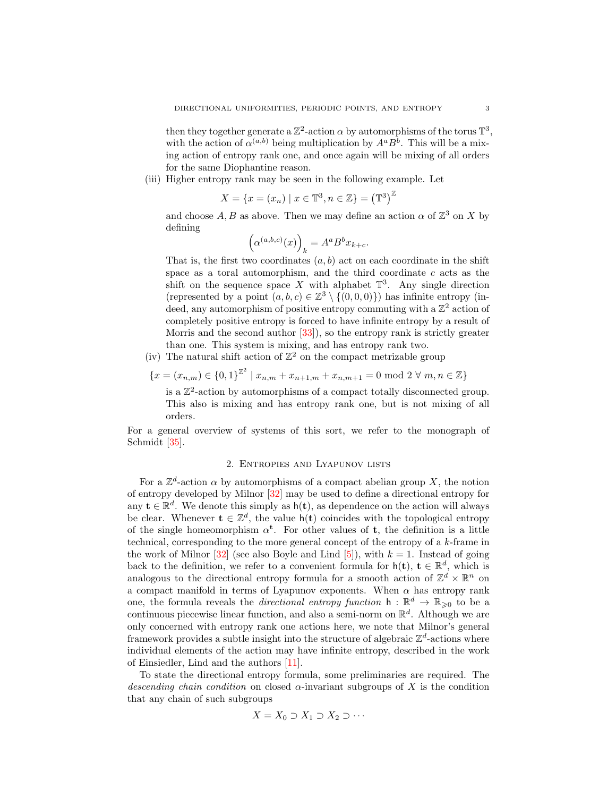then they together generate a  $\mathbb{Z}^2$ -action  $\alpha$  by automorphisms of the torus  $\mathbb{T}^3$ , with the action of  $\alpha^{(a,b)}$  being multiplication by  $A^a B^b$ . This will be a mixing action of entropy rank one, and once again will be mixing of all orders for the same Diophantine reason.

(iii) Higher entropy rank may be seen in the following example. Let

$$
X = \{x = (x_n) \mid x \in \mathbb{T}^3, n \in \mathbb{Z}\} = (\mathbb{T}^3)^{\mathbb{Z}}
$$

and choose  $A, B$  as above. Then we may define an action  $\alpha$  of  $\mathbb{Z}^3$  on X by defining

$$
\left(\alpha^{(a,b,c)}(x)\right)_k = A^a B^b x_{k+c}.
$$

That is, the first two coordinates  $(a, b)$  act on each coordinate in the shift space as a toral automorphism, and the third coordinate  $c$  acts as the shift on the sequence space X with alphabet  $\mathbb{T}^3$ . Any single direction (represented by a point  $(a, b, c) \in \mathbb{Z}^3 \setminus \{(0, 0, 0)\}\)$  has infinite entropy (indeed, any automorphism of positive entropy commuting with a  $\mathbb{Z}^2$  action of completely positive entropy is forced to have infinite entropy by a result of Morris and the second author [\[33\]](#page-21-1)), so the entropy rank is strictly greater than one. This system is mixing, and has entropy rank two.

(iv) The natural shift action of  $\mathbb{Z}^2$  on the compact metrizable group

$$
\{x = (x_{n,m}) \in \{0,1\}^{\mathbb{Z}^2} \mid x_{n,m} + x_{n+1,m} + x_{n,m+1} = 0 \text{ mod } 2 \ \forall \ m, n \in \mathbb{Z}\}
$$

is a  $\mathbb{Z}^2$ -action by automorphisms of a compact totally disconnected group. This also is mixing and has entropy rank one, but is not mixing of all orders.

For a general overview of systems of this sort, we refer to the monograph of Schmidt [\[35\]](#page-21-2).

#### 2. Entropies and Lyapunov lists

<span id="page-3-0"></span>For a  $\mathbb{Z}^d$ -action  $\alpha$  by automorphisms of a compact abelian group X, the notion of entropy developed by Milnor [\[32\]](#page-21-3) may be used to define a directional entropy for any  $\mathbf{t} \in \mathbb{R}^d$ . We denote this simply as  $h(\mathbf{t})$ , as dependence on the action will always be clear. Whenever  $\mathbf{t} \in \mathbb{Z}^d$ , the value  $h(\mathbf{t})$  coincides with the topological entropy of the single homeomorphism  $\alpha^t$ . For other values of t, the definition is a little technical, corresponding to the more general concept of the entropy of a  $k$ -frame in the work of Milnor  $[32]$  (see also Boyle and Lind  $[5]$ ), with  $k = 1$ . Instead of going back to the definition, we refer to a convenient formula for  $h(t)$ ,  $t \in \mathbb{R}^d$ , which is analogous to the directional entropy formula for a smooth action of  $\mathbb{Z}^d \times \mathbb{R}^n$  on a compact manifold in terms of Lyapunov exponents. When  $\alpha$  has entropy rank one, the formula reveals the *directional entropy function*  $h : \mathbb{R}^d \to \mathbb{R}_{\geqslant 0}$  to be a continuous piecewise linear function, and also a semi-norm on  $\mathbb{R}^d$ . Although we are only concerned with entropy rank one actions here, we note that Milnor's general framework provides a subtle insight into the structure of algebraic  $\mathbb{Z}^d$ -actions where individual elements of the action may have infinite entropy, described in the work of Einsiedler, Lind and the authors [\[11\]](#page-20-1).

To state the directional entropy formula, some preliminaries are required. The descending chain condition on closed  $\alpha$ -invariant subgroups of X is the condition that any chain of such subgroups

$$
X = X_0 \supset X_1 \supset X_2 \supset \cdots
$$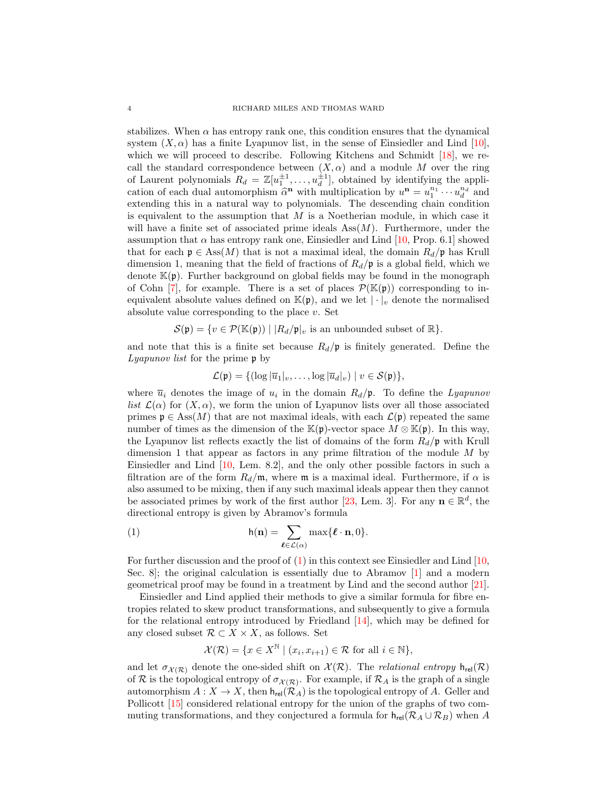stabilizes. When  $\alpha$  has entropy rank one, this condition ensures that the dynamical system  $(X, \alpha)$  has a finite Lyapunov list, in the sense of Einsiedler and Lind [\[10\]](#page-20-2), which we will proceed to describe. Following Kitchens and Schmidt [\[18\]](#page-21-4), we recall the standard correspondence between  $(X, \alpha)$  and a module M over the ring of Laurent polynomials  $R_d = \mathbb{Z}[u_1^{\pm 1}, \dots, u_d^{\pm 1}]$ , obtained by identifying the application of each dual automorphism  $\hat{\alpha}^n$  with multiplication by  $u^n = u_1^{n_1} \cdots u_d^{n_d}$  and<br>extending this in a natural way to polynomials. The descending chain condition extending this in a natural way to polynomials. The descending chain condition is equivalent to the assumption that  $M$  is a Noetherian module, in which case it will have a finite set of associated prime ideals  $Ass(M)$ . Furthermore, under the assumption that  $\alpha$  has entropy rank one, Einsiedler and Lind [\[10,](#page-20-2) Prop. 6.1] showed that for each  $\mathfrak{p} \in \text{Ass}(M)$  that is not a maximal ideal, the domain  $R_d/\mathfrak{p}$  has Krull dimension 1, meaning that the field of fractions of  $R_d/\mathfrak{p}$  is a global field, which we denote  $\mathbb{K}(\mathfrak{p})$ . Further background on global fields may be found in the monograph of Cohn [\[7\]](#page-20-3), for example. There is a set of places  $\mathcal{P}(\mathbb{K}(\mathfrak{p}))$  corresponding to inequivalent absolute values defined on  $\mathbb{K}(\mathfrak{p})$ , and we let  $|\cdot|_v$  denote the normalised absolute value corresponding to the place  $v$ . Set

$$
\mathcal{S}(\mathfrak{p}) = \{ v \in \mathcal{P}(\mathbb{K}(\mathfrak{p})) \mid |R_d/\mathfrak{p}|_v \text{ is an unbounded subset of } \mathbb{R} \}.
$$

and note that this is a finite set because  $R_d/p$  is finitely generated. Define the Lyapunov list for the prime p by

$$
\mathcal{L}(\mathfrak{p}) = \{ (\log |\overline{u}_1|_v, \ldots, \log |\overline{u}_d|_v) \mid v \in \mathcal{S}(\mathfrak{p}) \},
$$

where  $\overline{u}_i$  denotes the image of  $u_i$  in the domain  $R_d$ ,  $\overline{v}$ . To define the *Lyapunov* list  $\mathcal{L}(\alpha)$  for  $(X,\alpha)$ , we form the union of Lyapunov lists over all those associated primes  $\mathfrak{p} \in \text{Ass}(M)$  that are not maximal ideals, with each  $\mathcal{L}(\mathfrak{p})$  repeated the same number of times as the dimension of the K(p)-vector space  $M \otimes K(p)$ . In this way, the Lyapunov list reflects exactly the list of domains of the form  $R_d$ /p with Krull dimension 1 that appear as factors in any prime filtration of the module  $M$  by Einsiedler and Lind [\[10,](#page-20-2) Lem. 8.2], and the only other possible factors in such a filtration are of the form  $R_d/\mathfrak{m}$ , where  $\mathfrak{m}$  is a maximal ideal. Furthermore, if  $\alpha$  is also assumed to be mixing, then if any such maximal ideals appear then they cannot be associated primes by work of the first author [\[23,](#page-21-5) Lem. 3]. For any  $\mathbf{n} \in \mathbb{R}^d$ , the directional entropy is given by Abramov's formula

<span id="page-4-0"></span>(1) 
$$
h(\mathbf{n}) = \sum_{\ell \in \mathcal{L}(\alpha)} \max{\ell \cdot \mathbf{n}, 0}.
$$

For further discussion and the proof of  $(1)$  in this context see Einsiedler and Lind  $[10,$ Sec. 8; the original calculation is essentially due to Abramov  $[1]$  and a modern geometrical proof may be found in a treatment by Lind and the second author [\[21\]](#page-21-6).

Einsiedler and Lind applied their methods to give a similar formula for fibre entropies related to skew product transformations, and subsequently to give a formula for the relational entropy introduced by Friedland [\[14\]](#page-20-5), which may be defined for any closed subset  $\mathcal{R} \subset X \times X$ , as follows. Set

$$
\mathcal{X}(\mathcal{R}) = \{ x \in X^{\mathbb{N}} \mid (x_i, x_{i+1}) \in \mathcal{R} \text{ for all } i \in \mathbb{N} \},
$$

and let  $\sigma_{\mathcal{X}(\mathcal{R})}$  denote the one-sided shift on  $\mathcal{X}(\mathcal{R})$ . The *relational entropy*  $h_{rel}(\mathcal{R})$ of R is the topological entropy of  $\sigma_{\mathcal{X}(\mathcal{R})}$ . For example, if  $\mathcal{R}_A$  is the graph of a single automorphism  $A: X \to X$ , then  $h_{rel}(\mathcal{R}_A)$  is the topological entropy of A. Geller and Pollicott [\[15\]](#page-20-6) considered relational entropy for the union of the graphs of two commuting transformations, and they conjectured a formula for  $h_{rel}(\mathcal{R}_A \cup \mathcal{R}_B)$  when A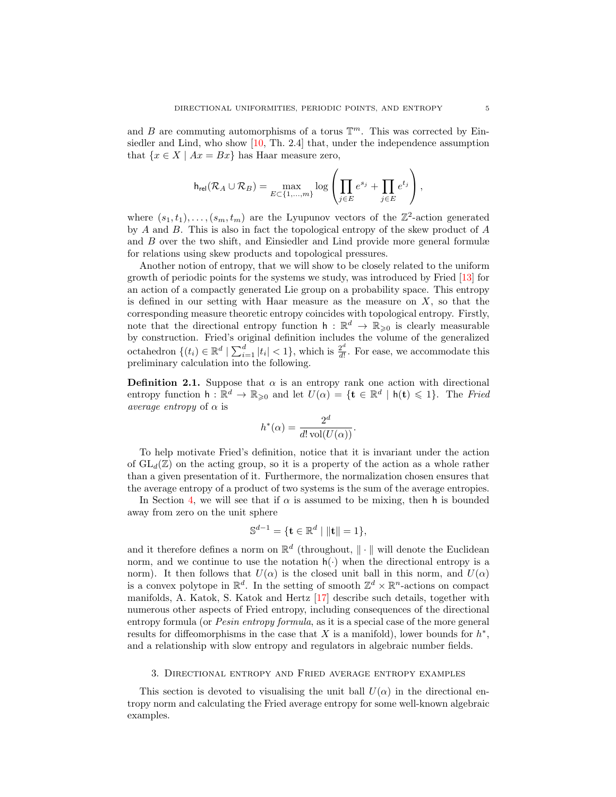and B are commuting automorphisms of a torus  $\mathbb{T}^m$ . This was corrected by Einsiedler and Lind, who show [\[10,](#page-20-2) Th. 2.4] that, under the independence assumption that  $\{x \in X \mid Ax = Bx\}$  has Haar measure zero,

$$
\mathsf{h}_{\mathsf{rel}}(\mathcal{R}_A \cup \mathcal{R}_B) = \max_{E \subset \{1, \dots, m\}} \log \left( \prod_{j \in E} e^{s_j} + \prod_{j \in E} e^{t_j} \right),
$$

where  $(s_1, t_1), \ldots, (s_m, t_m)$  are the Lyupunov vectors of the  $\mathbb{Z}^2$ -action generated by A and B. This is also in fact the topological entropy of the skew product of A and B over the two shift, and Einsiedler and Lind provide more general formulæ for relations using skew products and topological pressures.

Another notion of entropy, that we will show to be closely related to the uniform growth of periodic points for the systems we study, was introduced by Fried [\[13\]](#page-20-7) for an action of a compactly generated Lie group on a probability space. This entropy is defined in our setting with Haar measure as the measure on  $X$ , so that the corresponding measure theoretic entropy coincides with topological entropy. Firstly, note that the directional entropy function  $h : \mathbb{R}^d \to \mathbb{R}_{\geqslant 0}$  is clearly measurable by construction. Fried's original definition includes the volume of the generalized octahedron  $\{(t_i) \in \mathbb{R}^d \mid \sum_{i=1}^d |t_i| < 1\}$ , which is  $\frac{2^d}{d!}$  $\frac{2^{\alpha}}{d!}$ . For ease, we accommodate this preliminary calculation into the following.

**Definition 2.1.** Suppose that  $\alpha$  is an entropy rank one action with directional entropy function  $h: \mathbb{R}^d \to \mathbb{R}_{\geqslant 0}$  and let  $U(\alpha) = \{t \in \mathbb{R}^d \mid h(t) \leqslant 1\}$ . The Fried average entropy of  $\alpha$  is

$$
h^*(\alpha) = \frac{2^d}{d! \operatorname{vol}(U(\alpha))}.
$$

To help motivate Fried's definition, notice that it is invariant under the action of  $GL_d(\mathbb{Z})$  on the acting group, so it is a property of the action as a whole rather than a given presentation of it. Furthermore, the normalization chosen ensures that the average entropy of a product of two systems is the sum of the average entropies.

In Section [4,](#page-8-0) we will see that if  $\alpha$  is assumed to be mixing, then h is bounded away from zero on the unit sphere

$$
\mathbb{S}^{d-1} = \{ \mathbf{t} \in \mathbb{R}^d \mid ||\mathbf{t}|| = 1 \},
$$

and it therefore defines a norm on  $\mathbb{R}^d$  (throughout,  $\|\cdot\|$  will denote the Euclidean norm, and we continue to use the notation  $h(\cdot)$  when the directional entropy is a norm). It then follows that  $U(\alpha)$  is the closed unit ball in this norm, and  $U(\alpha)$ is a convex polytope in  $\mathbb{R}^d$ . In the setting of smooth  $\mathbb{Z}^d \times \mathbb{R}^n$ -actions on compact manifolds, A. Katok, S. Katok and Hertz [\[17\]](#page-21-7) describe such details, together with numerous other aspects of Fried entropy, including consequences of the directional entropy formula (or *Pesin entropy formula*, as it is a special case of the more general results for diffeomorphisms in the case that  $X$  is a manifold), lower bounds for  $h^*$ , and a relationship with slow entropy and regulators in algebraic number fields.

#### 3. Directional entropy and Fried average entropy examples

This section is devoted to visualising the unit ball  $U(\alpha)$  in the directional entropy norm and calculating the Fried average entropy for some well-known algebraic examples.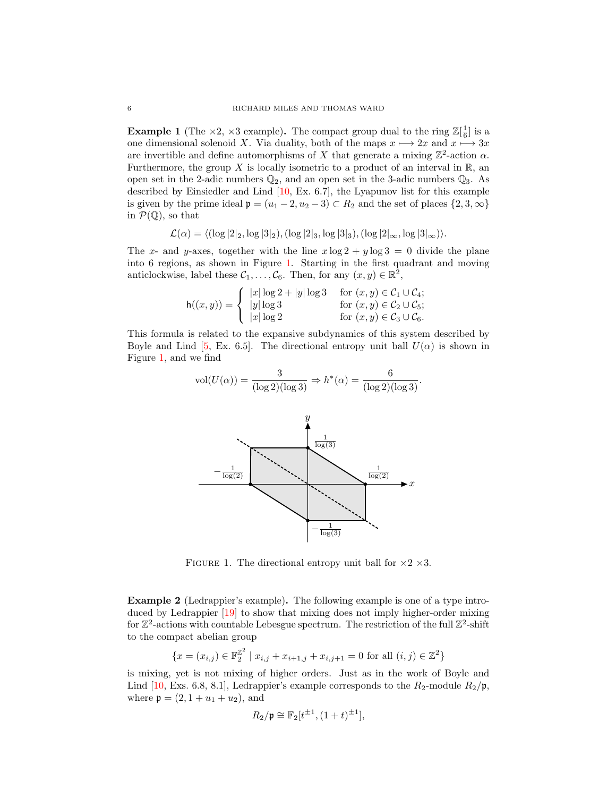<span id="page-6-1"></span>**Example 1** (The  $\times 2$ ,  $\times 3$  example). The compact group dual to the ring  $\mathbb{Z}[\frac{1}{6}]$  is a one dimensional solenoid X. Via duality, both of the maps  $x \mapsto 2x$  and  $x \mapsto 3x$ are invertible and define automorphisms of X that generate a mixing  $\mathbb{Z}^2$ -action  $\alpha$ . Furthermore, the group X is locally isometric to a product of an interval in  $\mathbb{R}$ , an open set in the 2-adic numbers  $\mathbb{Q}_2$ , and an open set in the 3-adic numbers  $\mathbb{Q}_3$ . As described by Einsiedler and Lind [\[10,](#page-20-2) Ex. 6.7], the Lyapunov list for this example is given by the prime ideal  $\mathfrak{p} = (u_1 - 2, u_2 - 3) \subset R_2$  and the set of places  $\{2, 3, \infty\}$ in  $\mathcal{P}(\mathbb{Q})$ , so that

$$
\mathcal{L}(\alpha) = \langle (\log |2|_2, \log |3|_2), (\log |2|_3, \log |3|_3), (\log |2|_{\infty}, \log |3|_{\infty}) \rangle.
$$

The x- and y-axes, together with the line  $x \log 2 + y \log 3 = 0$  divide the plane into 6 regions, as shown in Figure [1.](#page-6-0) Starting in the first quadrant and moving anticlockwise, label these  $\mathcal{C}_1, \ldots, \mathcal{C}_6$ . Then, for any  $(x, y) \in \mathbb{R}^2$ ,

$$
\mathsf{h}((x,y)) = \left\{ \begin{array}{ll} |x| \log 2 + |y| \log 3 & \text{for } (x,y) \in \mathcal{C}_1 \cup \mathcal{C}_4; \\ |y| \log 3 & \text{for } (x,y) \in \mathcal{C}_2 \cup \mathcal{C}_5; \\ |x| \log 2 & \text{for } (x,y) \in \mathcal{C}_3 \cup \mathcal{C}_6. \end{array} \right.
$$

This formula is related to the expansive subdynamics of this system described by Boyle and Lind [\[5,](#page-20-0) Ex. 6.5]. The directional entropy unit ball  $U(\alpha)$  is shown in Figure [1,](#page-6-0) and we find

$$
vol(U(\alpha)) = \frac{3}{(\log 2)(\log 3)} \Rightarrow h^*(\alpha) = \frac{6}{(\log 2)(\log 3)}.
$$



<span id="page-6-0"></span>FIGURE 1. The directional entropy unit ball for  $\times 2 \times 3$ .

<span id="page-6-2"></span>Example 2 (Ledrappier's example). The following example is one of a type introduced by Ledrappier [\[19\]](#page-21-8) to show that mixing does not imply higher-order mixing for  $\mathbb{Z}^2$ -actions with countable Lebesgue spectrum. The restriction of the full  $\mathbb{Z}^2$ -shift to the compact abelian group

$$
\{x = (x_{i,j}) \in \mathbb{F}_2^{\mathbb{Z}^2} \mid x_{i,j} + x_{i+1,j} + x_{i,j+1} = 0 \text{ for all } (i,j) \in \mathbb{Z}^2\}
$$

is mixing, yet is not mixing of higher orders. Just as in the work of Boyle and Lind [\[10,](#page-20-2) Exs. 6.8, 8.1], Ledrappier's example corresponds to the  $R_2$ -module  $R_2/\mathfrak{p}$ , where  $\mathfrak{p} = (2, 1 + u_1 + u_2)$ , and

$$
R_2/\mathfrak{p}\cong \mathbb{F}_2[t^{\pm 1},(1+t)^{\pm 1}],
$$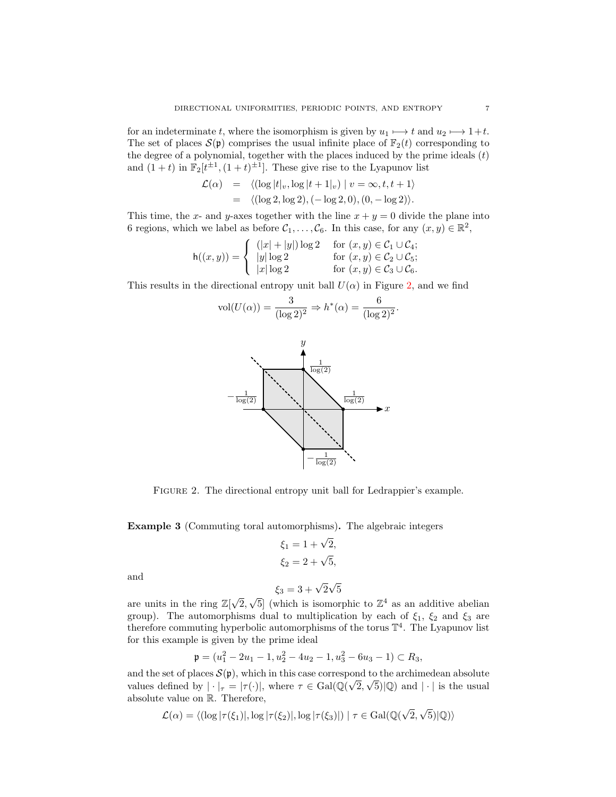for an indeterminate t, where the isomorphism is given by  $u_1 \mapsto t$  and  $u_2 \mapsto 1+t$ . The set of places  $\mathcal{S}(\mathfrak{p})$  comprises the usual infinite place of  $\mathbb{F}_2(t)$  corresponding to the degree of a polynomial, together with the places induced by the prime ideals  $(t)$ and  $(1+t)$  in  $\mathbb{F}_2[t^{\pm 1}, (1+t)^{\pm 1}]$ . These give rise to the Lyapunov list

$$
\mathcal{L}(\alpha) = \langle (\log |t|_v, \log |t+1|_v) | v = \infty, t, t+1 \rangle \n= \langle (\log 2, \log 2), (-\log 2, 0), (0, -\log 2) \rangle.
$$

This time, the x- and y-axes together with the line  $x + y = 0$  divide the plane into 6 regions, which we label as before  $C_1, \ldots, C_6$ . In this case, for any  $(x, y) \in \mathbb{R}^2$ ,

$$
\mathsf{h}((x,y)) = \left\{ \begin{array}{ll} (|x|+|y|)\log 2 & \text{for } (x,y) \in \mathcal{C}_1 \cup \mathcal{C}_4; \\ |y|\log 2 & \text{for } (x,y) \in \mathcal{C}_2 \cup \mathcal{C}_5; \\ |x|\log 2 & \text{for } (x,y) \in \mathcal{C}_3 \cup \mathcal{C}_6. \end{array} \right.
$$

This results in the directional entropy unit ball  $U(\alpha)$  in Figure [2,](#page-7-0) and we find

$$
vol(U(\alpha)) = \frac{3}{(\log 2)^2} \Rightarrow h^*(\alpha) = \frac{6}{(\log 2)^2}.
$$



<span id="page-7-0"></span>Figure 2. The directional entropy unit ball for Ledrappier's example.

Example 3 (Commuting toral automorphisms). The algebraic integers

$$
\xi_1 = 1 + \sqrt{2}, \n\xi_2 = 2 + \sqrt{5},
$$

and

$$
\xi_3 = 3 + \sqrt{2}\sqrt{5}
$$

are units in the ring  $\mathbb{Z}[\sqrt{2}]$ 2,  $\sqrt{5}$  (which is isomorphic to  $\mathbb{Z}^4$  as an additive abelian group). The automorphisms dual to multiplication by each of  $\xi_1$ ,  $\xi_2$  and  $\xi_3$  are therefore commuting hyperbolic automorphisms of the torus  $\mathbb{T}^4$ . The Lyapunov list for this example is given by the prime ideal

$$
\mathfrak{p} = (u_1^2 - 2u_1 - 1, u_2^2 - 4u_2 - 1, u_3^2 - 6u_3 - 1) \subset R_3,
$$

and the set of places  $\mathcal{S}(\mathfrak{p})$ , which in this case correspond to the archimedean absolute values defined by  $|\cdot|_{\tau} = |\tau(\cdot)|$ , where  $\tau \in Gal(\mathbb{Q}(\sqrt{2}, \sqrt{5})|\mathbb{Q})$  and  $|\cdot|$  is the usual absolute value on R. Therefore,

$$
\mathcal{L}(\alpha) = \langle (\log |\tau(\xi_1)|, \log |\tau(\xi_2)|, \log |\tau(\xi_3)| \rangle | \tau \in \text{Gal}(\mathbb{Q}(\sqrt{2}, \sqrt{5})|\mathbb{Q}) \rangle
$$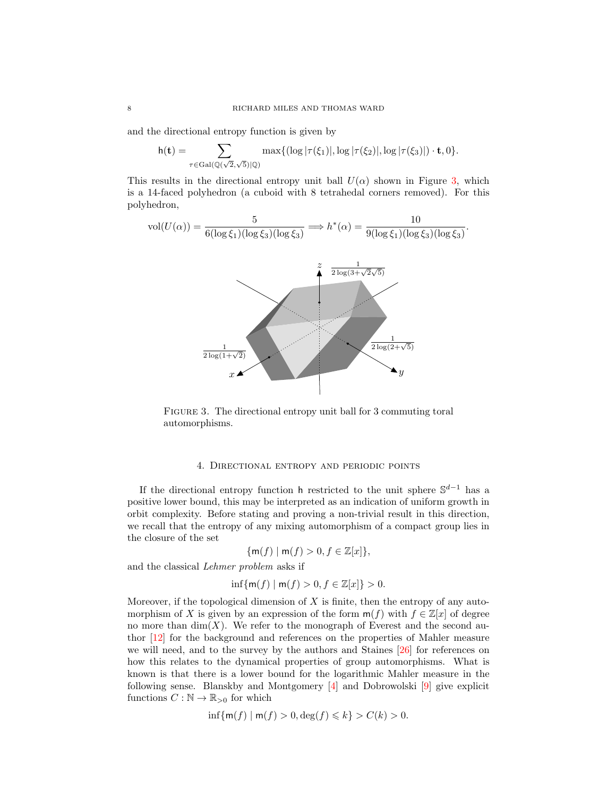and the directional entropy function is given by

$$
\mathsf{h}(\mathbf{t}) = \sum_{\tau \in \mathrm{Gal}(\mathbb{Q}(\sqrt{2},\sqrt{5})|\mathbb{Q})} \max\{(\log |\tau(\xi_1)|, \log |\tau(\xi_2)|, \log |\tau(\xi_3)|) \cdot \mathbf{t}, 0\}.
$$

This results in the directional entropy unit ball  $U(\alpha)$  shown in Figure [3,](#page-8-1) which is a 14-faced polyhedron (a cuboid with 8 tetrahedal corners removed). For this polyhedron,



<span id="page-8-1"></span>FIGURE 3. The directional entropy unit ball for 3 commuting toral automorphisms.

#### 4. Directional entropy and periodic points

<span id="page-8-0"></span>If the directional entropy function h restricted to the unit sphere  $\mathbb{S}^{d-1}$  has a positive lower bound, this may be interpreted as an indication of uniform growth in orbit complexity. Before stating and proving a non-trivial result in this direction, we recall that the entropy of any mixing automorphism of a compact group lies in the closure of the set

$$
\{\mathsf{m}(f) \mid \mathsf{m}(f) > 0, f \in \mathbb{Z}[x]\},
$$

and the classical Lehmer problem asks if

$$
\inf\{\mathsf{m}(f) \mid \mathsf{m}(f) > 0, f \in \mathbb{Z}[x]\} > 0.
$$

Moreover, if the topological dimension of  $X$  is finite, then the entropy of any automorphism of X is given by an expression of the form  $m(f)$  with  $f \in \mathbb{Z}[x]$  of degree no more than  $\dim(X)$ . We refer to the monograph of Everest and the second author [\[12\]](#page-20-8) for the background and references on the properties of Mahler measure we will need, and to the survey by the authors and Staines [\[26\]](#page-21-9) for references on how this relates to the dynamical properties of group automorphisms. What is known is that there is a lower bound for the logarithmic Mahler measure in the following sense. Blanskby and Montgomery [\[4\]](#page-20-9) and Dobrowolski [\[9\]](#page-20-10) give explicit functions  $C : \mathbb{N} \to \mathbb{R}_{>0}$  for which

$$
\inf\{\mathsf{m}(f) \mid \mathsf{m}(f) > 0, \deg(f) \leq k\} > C(k) > 0.
$$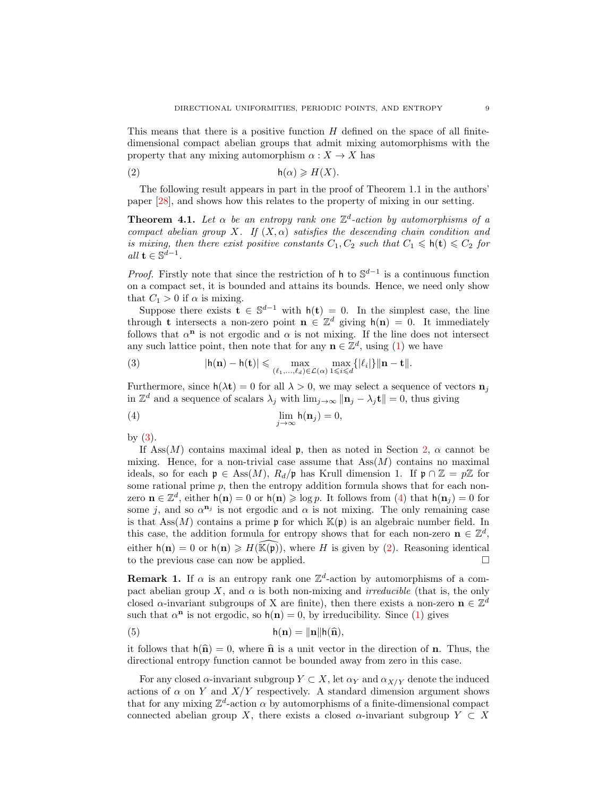This means that there is a positive function  $H$  defined on the space of all finitedimensional compact abelian groups that admit mixing automorphisms with the property that any mixing automorphism  $\alpha: X \to X$  has

<span id="page-9-2"></span>
$$
h(\alpha) \geqslant H(X).
$$

The following result appears in part in the proof of Theorem 1.1 in the authors' paper [\[28\]](#page-21-10), and shows how this relates to the property of mixing in our setting.

<span id="page-9-3"></span>**Theorem 4.1.** Let  $\alpha$  be an entropy rank one  $\mathbb{Z}^d$ -action by automorphisms of a compact abelian group X. If  $(X, \alpha)$  satisfies the descending chain condition and is mixing, then there exist positive constants  $C_1, C_2$  such that  $C_1 \leq h(t) \leq C_2$  for  $all \ \mathbf{t} \in \mathbb{S}^{d-1}.$ 

*Proof.* Firstly note that since the restriction of h to  $\mathbb{S}^{d-1}$  is a continuous function on a compact set, it is bounded and attains its bounds. Hence, we need only show that  $C_1 > 0$  if  $\alpha$  is mixing.

Suppose there exists  $\mathbf{t} \in \mathbb{S}^{d-1}$  with  $h(\mathbf{t}) = 0$ . In the simplest case, the line through **t** intersects a non-zero point  $\mathbf{n} \in \mathbb{Z}^d$  giving  $h(\mathbf{n}) = 0$ . It immediately follows that  $\alpha^{n}$  is not ergodic and  $\alpha$  is not mixing. If the line does not intersect any such lattice point, then note that for any  $\mathbf{n} \in \mathbb{Z}^d$ , using [\(1\)](#page-4-0) we have

<span id="page-9-0"></span>(3) 
$$
|\mathsf{h}(\mathbf{n}) - \mathsf{h}(\mathbf{t})| \leqslant \max_{(\ell_1, \ldots, \ell_d) \in \mathcal{L}(\alpha)} \max_{1 \leqslant i \leqslant d} \{|\ell_i|\} \|\mathbf{n} - \mathbf{t}\|.
$$

Furthermore, since  $h(\lambda t) = 0$  for all  $\lambda > 0$ , we may select a sequence of vectors  $n_i$ in  $\mathbb{Z}^d$  and a sequence of scalars  $\lambda_j$  with  $\lim_{j\to\infty} ||\mathbf{n}_j - \lambda_j \mathbf{t}|| = 0$ , thus giving

<span id="page-9-1"></span>(4) 
$$
\lim_{j \to \infty} h(\mathbf{n}_j) = 0,
$$

by  $(3)$ .

If Ass $(M)$  contains maximal ideal p, then as noted in Section [2,](#page-3-0)  $\alpha$  cannot be mixing. Hence, for a non-trivial case assume that  $Ass(M)$  contains no maximal ideals, so for each  $\mathfrak{p} \in \text{Ass}(M)$ ,  $R_d/\mathfrak{p}$  has Krull dimension 1. If  $\mathfrak{p} \cap \mathbb{Z} = p\mathbb{Z}$  for some rational prime  $p$ , then the entropy addition formula shows that for each nonzero  $\mathbf{n} \in \mathbb{Z}^d$ , either  $h(\mathbf{n}) = 0$  or  $h(\mathbf{n}) \geqslant \log p$ . It follows from [\(4\)](#page-9-1) that  $h(\mathbf{n}_j) = 0$  for some j, and so  $\alpha^{n_j}$  is not ergodic and  $\alpha$  is not mixing. The only remaining case is that Ass $(M)$  contains a prime p for which  $\mathbb{K}(\mathfrak{p})$  is an algebraic number field. In this case, the addition formula for entropy shows that for each non-zero  $\mathbf{n} \in \mathbb{Z}^d$ , either  $h(n) = 0$  or  $h(n) \ge H(\mathbb{K}(p))$ , where H is given by [\(2\)](#page-9-2). Reasoning identical to the previous case can now be applied.

**Remark 1.** If  $\alpha$  is an entropy rank one  $\mathbb{Z}^d$ -action by automorphisms of a compact abelian group X, and  $\alpha$  is both non-mixing and *irreducible* (that is, the only closed  $\alpha$ -invariant subgroups of X are finite), then there exists a non-zero  $\mathbf{n} \in \mathbb{Z}^d$ such that  $\alpha^{n}$  is not ergodic, so  $h(n) = 0$ , by irreducibility. Since [\(1\)](#page-4-0) gives

(5) 
$$
\mathsf{h}(\mathbf{n}) = \|\mathbf{n}\|\mathsf{h}(\widehat{\mathbf{n}}),
$$

it follows that  $h(\hat{\mathbf{n}}) = 0$ , where  $\hat{\mathbf{n}}$  is a unit vector in the direction of **n**. Thus, the directional entropy function cannot be bounded away from zero in this case.

For any closed  $\alpha$ -invariant subgroup  $Y \subset X$ , let  $\alpha_Y$  and  $\alpha_{X/Y}$  denote the induced actions of  $\alpha$  on Y and  $X/Y$  respectively. A standard dimension argument shows that for any mixing  $\mathbb{Z}^d$ -action  $\alpha$  by automorphisms of a finite-dimensional compact connected abelian group X, there exists a closed  $\alpha$ -invariant subgroup  $Y \subset X$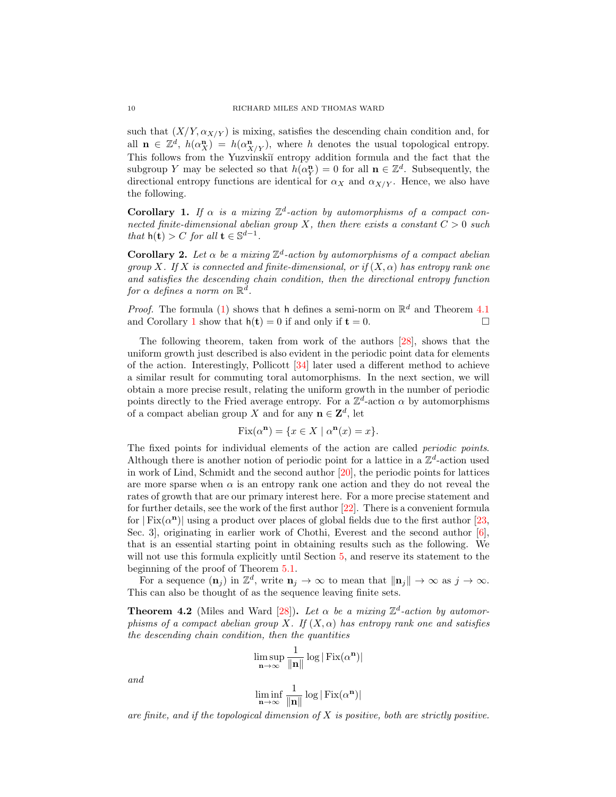such that  $(X/Y, \alpha_{X/Y})$  is mixing, satisfies the descending chain condition and, for all  $\mathbf{n} \in \mathbb{Z}^d$ ,  $h(\alpha_X^n) = h(\alpha_{X/Y}^n)$ , where h denotes the usual topological entropy. This follows from the Yuzvinskiĭ entropy addition formula and the fact that the subgroup Y may be selected so that  $h(\alpha_Y^n) = 0$  for all  $\mathbf{n} \in \mathbb{Z}^d$ . Subsequently, the directional entropy functions are identical for  $\alpha_X$  and  $\alpha_{X/Y}$ . Hence, we also have the following.

<span id="page-10-0"></span>**Corollary 1.** If  $\alpha$  is a mixing  $\mathbb{Z}^d$ -action by automorphisms of a compact connected finite-dimensional abelian group X, then there exists a constant  $C > 0$  such that  $h(t) > C$  for all  $t \in \mathbb{S}^{d-1}$ .

**Corollary 2.** Let  $\alpha$  be a mixing  $\mathbb{Z}^d$ -action by automorphisms of a compact abelian group X. If X is connected and finite-dimensional, or if  $(X, \alpha)$  has entropy rank one and satisfies the descending chain condition, then the directional entropy function for  $\alpha$  defines a norm on  $\mathbb{R}^d$ .

*Proof.* The formula [\(1\)](#page-4-0) shows that h defines a semi-norm on  $\mathbb{R}^d$  and Theorem [4.1](#page-9-3) and Corollary [1](#page-10-0) show that  $h(t) = 0$  if and only if  $t = 0$ .

The following theorem, taken from work of the authors [\[28\]](#page-21-10), shows that the uniform growth just described is also evident in the periodic point data for elements of the action. Interestingly, Pollicott [\[34\]](#page-21-11) later used a different method to achieve a similar result for commuting toral automorphisms. In the next section, we will obtain a more precise result, relating the uniform growth in the number of periodic points directly to the Fried average entropy. For a  $\mathbb{Z}^d$ -action  $\alpha$  by automorphisms of a compact abelian group X and for any  $\mathbf{n} \in \mathbf{Z}^d$ , let

$$
Fix(\alpha^{\mathbf{n}}) = \{ x \in X \mid \alpha^{\mathbf{n}}(x) = x \}.
$$

The fixed points for individual elements of the action are called *periodic points*. Although there is another notion of periodic point for a lattice in a  $\mathbb{Z}^d$ -action used in work of Lind, Schmidt and the second author [\[20\]](#page-21-12), the periodic points for lattices are more sparse when  $\alpha$  is an entropy rank one action and they do not reveal the rates of growth that are our primary interest here. For a more precise statement and for further details, see the work of the first author [\[22\]](#page-21-13). There is a convenient formula for  $| Fix(\alpha^n)|$  using a product over places of global fields due to the first author [\[23,](#page-21-5) Sec. 3], originating in earlier work of Chothi, Everest and the second author [\[6\]](#page-20-11), that is an essential starting point in obtaining results such as the following. We will not use this formula explicitly until Section [5,](#page-11-0) and reserve its statement to the beginning of the proof of Theorem [5.1.](#page-12-0)

For a sequence  $(\mathbf{n}_j)$  in  $\mathbb{Z}^d$ , write  $\mathbf{n}_j \to \infty$  to mean that  $\|\mathbf{n}_j\| \to \infty$  as  $j \to \infty$ . This can also be thought of as the sequence leaving finite sets.

<span id="page-10-1"></span>**Theorem 4.2** (Miles and Ward [\[28\]](#page-21-10)). Let  $\alpha$  be a mixing  $\mathbb{Z}^d$ -action by automorphisms of a compact abelian group X. If  $(X, \alpha)$  has entropy rank one and satisfies the descending chain condition, then the quantities

$$
\limsup_{\mathbf{n}\to\infty}\frac{1}{\|\mathbf{n}\|}\log|\operatorname{Fix}(\alpha^{\mathbf{n}})|
$$

and

$$
\liminf_{n\to\infty}\frac{1}{\|n\|}\log|\operatorname{Fix}(\alpha^n)|
$$

are finite, and if the topological dimension of  $X$  is positive, both are strictly positive.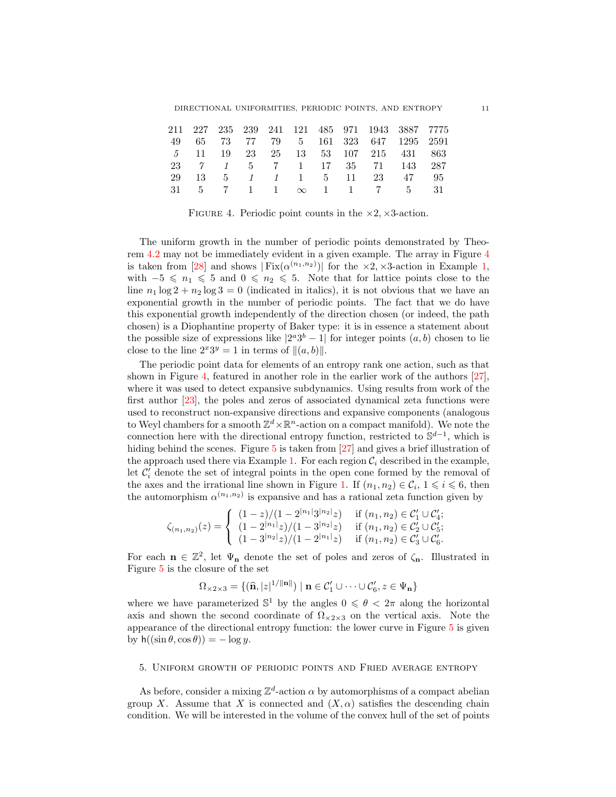DIRECTIONAL UNIFORMITIES, PERIODIC POINTS, AND ENTROPY 11

|  |  |  |  | 211 227 235 239 241 121 485 971 1943 3887 7775                                             |  |
|--|--|--|--|--------------------------------------------------------------------------------------------|--|
|  |  |  |  | 49 65 73 77 79 5 161 323 647 1295 2591                                                     |  |
|  |  |  |  | 5 11 19 23 25 13 53 107 215 431 863                                                        |  |
|  |  |  |  | 23 7 1 5 7 1 17 35 71 143 287                                                              |  |
|  |  |  |  | 29 13 5 1 1 1 5 11 23 47 95                                                                |  |
|  |  |  |  | $31 \quad 5 \quad 7 \quad 1 \quad 1 \quad \infty \quad 1 \quad 1 \quad 7 \quad 5 \quad 31$ |  |

<span id="page-11-1"></span>FIGURE 4. Periodic point counts in the  $\times 2$ ,  $\times 3$ -action.

The uniform growth in the number of periodic points demonstrated by Theorem [4.2](#page-10-1) may not be immediately evident in a given example. The array in Figure [4](#page-11-1) is taken from [\[28\]](#page-21-10) and shows  $| Fix(\alpha^{(n_1,n_2)})|$  $| Fix(\alpha^{(n_1,n_2)})|$  $| Fix(\alpha^{(n_1,n_2)})|$  for the  $\times 2$ ,  $\times 3$ -action in Example 1, with  $-5 \le n_1 \le 5$  and  $0 \le n_2 \le 5$ . Note that for lattice points close to the line  $n_1 \log 2 + n_2 \log 3 = 0$  (indicated in italics), it is not obvious that we have an exponential growth in the number of periodic points. The fact that we do have this exponential growth independently of the direction chosen (or indeed, the path chosen) is a Diophantine property of Baker type: it is in essence a statement about the possible size of expressions like  $|2^a 3^b - 1|$  for integer points  $(a, b)$  chosen to lie close to the line  $2^x 3^y = 1$  in terms of  $||(a, b)||$ .

The periodic point data for elements of an entropy rank one action, such as that shown in Figure [4,](#page-11-1) featured in another role in the earlier work of the authors [\[27\]](#page-21-14), where it was used to detect expansive subdynamics. Using results from work of the first author [\[23\]](#page-21-5), the poles and zeros of associated dynamical zeta functions were used to reconstruct non-expansive directions and expansive components (analogous to Weyl chambers for a smooth  $\mathbb{Z}^d \times \mathbb{R}^n$ -action on a compact manifold). We note the connection here with the directional entropy function, restricted to  $\mathbb{S}^{d-1}$ , which is hiding behind the scenes. Figure [5](#page-12-1) is taken from [\[27\]](#page-21-14) and gives a brief illustration of the approach used there via Example [1.](#page-6-1) For each region  $\mathcal{C}_i$  described in the example, let  $\mathcal{C}'_i$  denote the set of integral points in the open cone formed by the removal of the axes and the irrational line shown in Figure [1.](#page-6-0) If  $(n_1, n_2) \in \mathcal{C}_i$ ,  $1 \leq i \leq 6$ , then the automorphism  $\alpha^{(n_1,n_2)}$  is expansive and has a rational zeta function given by

$$
\zeta_{(n_1,n_2)}(z) = \begin{cases}\n(1-z)/(1-2^{|n_1|}3^{|n_2|}z) & \text{if } (n_1,n_2) \in \mathcal{C}_1' \cup \mathcal{C}_4'; \\
(1-2^{|n_1|}z)/(1-3^{|n_2|}z) & \text{if } (n_1,n_2) \in \mathcal{C}_2' \cup \mathcal{C}_5'; \\
(1-3^{|n_2|}z)/(1-2^{|n_1|}z) & \text{if } (n_1,n_2) \in \mathcal{C}_3' \cup \mathcal{C}_6'.\n\end{cases}
$$

For each  $\mathbf{n} \in \mathbb{Z}^2$ , let  $\Psi_{\mathbf{n}}$  denote the set of poles and zeros of  $\zeta_{\mathbf{n}}$ . Illustrated in Figure [5](#page-12-1) is the closure of the set

$$
\Omega_{\times 2 \times 3} = \{ (\widehat{\mathbf{n}}, |z|^{1/||\mathbf{n}||}) \mid \mathbf{n} \in C'_1 \cup \cdots \cup C'_6, z \in \Psi_{\mathbf{n}} \}
$$

where we have parameterized  $\mathbb{S}^1$  by the angles  $0 \le \theta < 2\pi$  along the horizontal axis and shown the second coordinate of  $\Omega_{\times 2 \times 3}$  on the vertical axis. Note the appearance of the directional entropy function: the lower curve in Figure [5](#page-12-1) is given by  $h((\sin \theta, \cos \theta)) = -\log y$ .

#### <span id="page-11-0"></span>5. Uniform growth of periodic points and Fried average entropy

As before, consider a mixing  $\mathbb{Z}^d$ -action  $\alpha$  by automorphisms of a compact abelian group X. Assume that X is connected and  $(X, \alpha)$  satisfies the descending chain condition. We will be interested in the volume of the convex hull of the set of points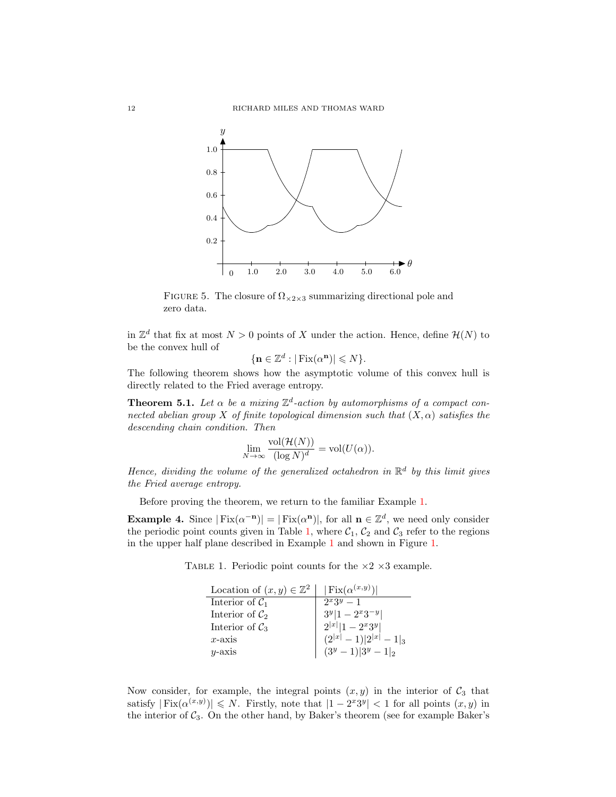

<span id="page-12-1"></span>FIGURE 5. The closure of  $\Omega_{\times 2 \times 3}$  summarizing directional pole and zero data.

in  $\mathbb{Z}^d$  that fix at most  $N > 0$  points of X under the action. Hence, define  $\mathcal{H}(N)$  to be the convex hull of

$$
\{\mathbf n\in\mathbb Z^d:|\operatorname{Fix}(\alpha^\mathbf n)|\leqslant N\}.
$$

The following theorem shows how the asymptotic volume of this convex hull is directly related to the Fried average entropy.

<span id="page-12-0"></span>**Theorem 5.1.** Let  $\alpha$  be a mixing  $\mathbb{Z}^d$ -action by automorphisms of a compact connected abelian group X of finite topological dimension such that  $(X, \alpha)$  satisfies the descending chain condition. Then

$$
\lim_{N \to \infty} \frac{\text{vol}(\mathcal{H}(N))}{(\log N)^d} = \text{vol}(U(\alpha)).
$$

Hence, dividing the volume of the generalized octahedron in  $\mathbb{R}^d$  by this limit gives the Fried average entropy.

Before proving the theorem, we return to the familiar Example [1.](#page-6-1)

**Example 4.** Since  $|Fix(\alpha^{-n})| = |Fix(\alpha^n)|$ , for all  $n \in \mathbb{Z}^d$ , we need only consider the periodic point counts given in Table [1,](#page-12-2) where  $C_1$ ,  $C_2$  and  $C_3$  refer to the regions in the upper half plane described in Example [1](#page-6-1) and shown in Figure [1.](#page-6-0)

TABLE 1. Periodic point counts for the  $\times 2 \times 3$  example.

<span id="page-12-2"></span>

| Location of $(x, y) \in \mathbb{Z}^2$ | $ \operatorname{Fix}(\alpha^{(x,y)}) $ |
|---------------------------------------|----------------------------------------|
| Interior of $C_1$                     | $2^{x}3^{y}-1$                         |
| Interior of $\mathcal{C}_2$           | $3^y 1-2^x3^{-y} $                     |
| Interior of $\mathcal{C}_3$           | $2^{ x } 1-2^x3^y $                    |
| $x$ -axis                             | $(2^{ x }-1) 2^{ x }-1 _3$             |
| $u$ -axis                             | $(3^y-1) 3^y-1 _2$                     |

Now consider, for example, the integral points  $(x, y)$  in the interior of  $C_3$  that satisfy  $|\text{Fix}(\alpha^{(x,y)})| \leq N$ . Firstly, note that  $|1 - 2^{x}3^{y}| < 1$  for all points  $(x, y)$  in the interior of  $C_3$ . On the other hand, by Baker's theorem (see for example Baker's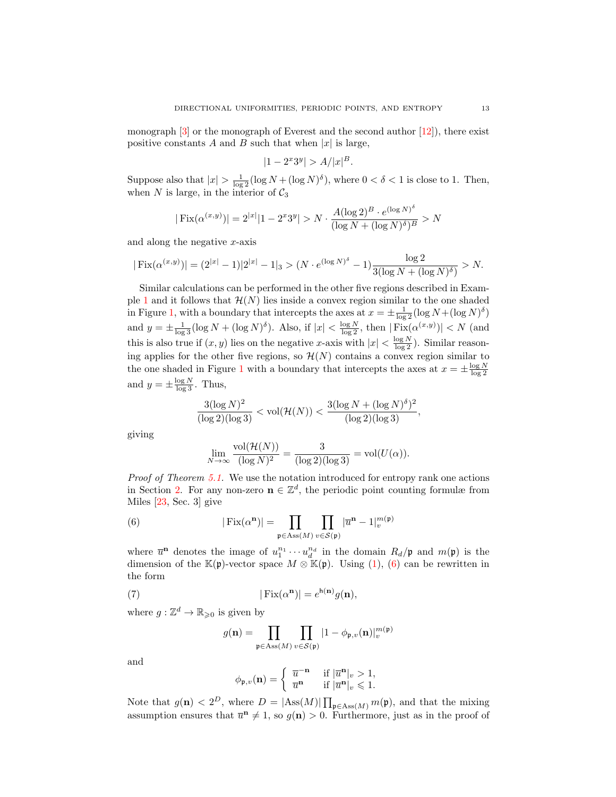monograph  $[3]$  or the monograph of Everest and the second author  $[12]$ , there exist positive constants A and B such that when  $|x|$  is large,

$$
|1 - 2^x 3^y| > A / |x|^B.
$$

Suppose also that  $|x| > \frac{1}{\log 2} (\log N + (\log N)^{\delta})$ , where  $0 < \delta < 1$  is close to 1. Then, when N is large, in the interior of  $C_3$ 

$$
|\operatorname{Fix}(\alpha^{(x,y)})|=2^{|x|}|1-2^x3^y|>N\cdot \frac{A(\log 2)^B\cdot e^{(\log N)^\delta}}{(\log N+(\log N)^\delta)^B}>N
$$

and along the negative  $x$ -axis

$$
|\operatorname{Fix}(\alpha^{(x,y)})| = (2^{|x|} - 1)|2^{|x|} - 1|_3 > (N \cdot e^{(\log N)^{\delta}} - 1) \frac{\log 2}{3(\log N + (\log N)^{\delta})} > N.
$$

Similar calculations can be performed in the other five regions described in Exam-ple [1](#page-6-1) and it follows that  $\mathcal{H}(N)$  lies inside a convex region similar to the one shaded in Figure [1,](#page-6-0) with a boundary that intercepts the axes at  $x = \pm \frac{1}{\log 2} (\log N + (\log N)^{\delta})$ and  $y = \pm \frac{1}{\log 3} (\log N + (\log N)^{\delta})$ . Also, if  $|x| < \frac{\log N}{\log 2}$ , then  $|\text{Fix}(\alpha^{(x,y)})| < N$  (and this is also true if  $(x, y)$  lies on the negative x-axis with  $|x| < \frac{\log N}{\log 2}$ ). Similar reasoning applies for the other five regions, so  $\mathcal{H}(N)$  contains a convex region similar to the one shaded in Figure [1](#page-6-0) with a boundary that intercepts the axes at  $x = \pm \frac{\log N}{\log 2}$ and  $y = \pm \frac{\log N}{\log 3}$ . Thus,

$$
\frac{3(\log N)^2}{(\log 2)(\log 3)} < \text{vol}(\mathcal{H}(N)) < \frac{3(\log N + (\log N)^{\delta})^2}{(\log 2)(\log 3)},
$$

giving

<span id="page-13-0"></span>
$$
\lim_{N \to \infty} \frac{\text{vol}(\mathcal{H}(N))}{(\log N)^2} = \frac{3}{(\log 2)(\log 3)} = \text{vol}(U(\alpha)).
$$

Proof of Theorem [5.1.](#page-12-0) We use the notation introduced for entropy rank one actions in Section [2.](#page-3-0) For any non-zero  $\mathbf{n} \in \mathbb{Z}^d$ , the periodic point counting formulæ from Miles [\[23,](#page-21-5) Sec. 3] give

(6) 
$$
|\operatorname{Fix}(\alpha^{\mathbf{n}})| = \prod_{\mathfrak{p} \in \operatorname{Ass}(M)} \prod_{v \in \mathcal{S}(\mathfrak{p})} |\overline{u}^{\mathbf{n}} - 1|_{v}^{m(\mathfrak{p})}
$$

where  $\overline{u}^n$  denotes the image of  $u_1^{n_1} \cdots u_d^{n_d}$  in the domain  $R_d/\mathfrak{p}$  and  $m(\mathfrak{p})$  is the dimension of the K(p)-vector space  $M \otimes K(p)$ . Using [\(1\)](#page-4-0), [\(6\)](#page-13-0) can be rewritten in the form

(7) 
$$
|\operatorname{Fix}(\alpha^{\mathbf{n}})| = e^{\mathsf{h}(\mathbf{n})} g(\mathbf{n}),
$$

where  $g: \mathbb{Z}^d \to \mathbb{R}_{\geqslant 0}$  is given by

<span id="page-13-1"></span>
$$
g(\mathbf{n}) = \prod_{\mathfrak{p} \in \text{Ass}(M)} \prod_{v \in \mathcal{S}(\mathfrak{p})} |1 - \phi_{\mathfrak{p},v}(\mathbf{n})|_v^{m(\mathfrak{p})}
$$

and

$$
\phi_{\mathfrak{p},v}(\mathbf{n}) = \begin{cases} \overline{u}^{-\mathbf{n}} & \text{if } |\overline{u}^{\mathbf{n}}|_v > 1, \\ \overline{u}^{\mathbf{n}} & \text{if } |\overline{u}^{\mathbf{n}}|_v \leqslant 1. \end{cases}
$$

Note that  $g(\mathbf{n}) < 2^D$ , where  $D = |\text{Ass}(M)| \prod_{\mathfrak{p} \in \text{Ass}(M)} m(\mathfrak{p})$ , and that the mixing assumption ensures that  $\overline{u}^n \neq 1$ , so  $g(n) > 0$ . Furthermore, just as in the proof of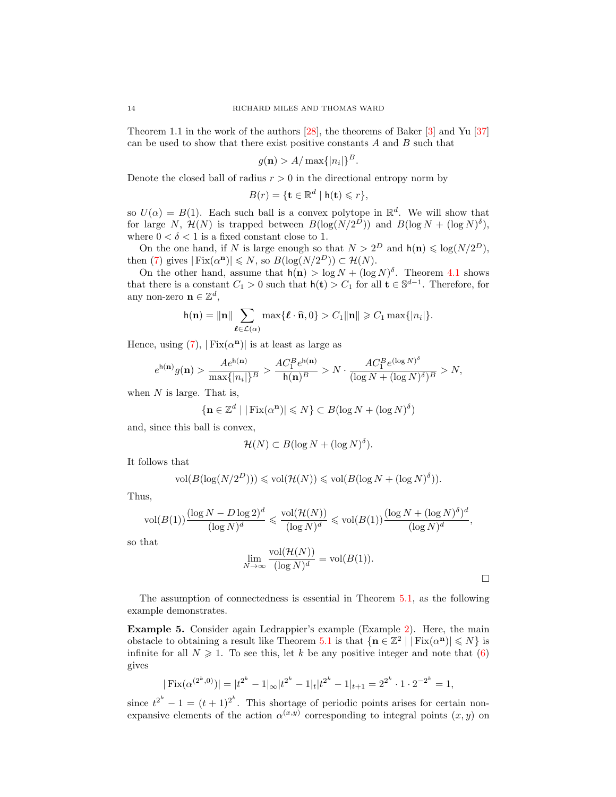Theorem 1.1 in the work of the authors [\[28\]](#page-21-10), the theorems of Baker [\[3\]](#page-20-12) and Yu [\[37\]](#page-21-15) can be used to show that there exist positive constants  $A$  and  $B$  such that

$$
g(\mathbf{n}) > A/\max\{|n_i|\}^B.
$$

Denote the closed ball of radius  $r > 0$  in the directional entropy norm by

$$
B(r) = \{ \mathbf{t} \in \mathbb{R}^d \mid \mathsf{h}(\mathbf{t}) \leqslant r \},
$$

so  $U(\alpha) = B(1)$ . Each such ball is a convex polytope in  $\mathbb{R}^d$ . We will show that for large N,  $\mathcal{H}(N)$  is trapped between  $B(\log(N/2^D))$  and  $B(\log N + (\log N)^{\delta})$ , where  $0 < \delta < 1$  is a fixed constant close to 1.

On the one hand, if N is large enough so that  $N > 2^D$  and  $h(n) \leq \log(N/2^D)$ , then [\(7\)](#page-13-1) gives  $|\text{Fix}(\alpha^n)| \leq N$ , so  $B(\log(N/2^D)) \subset \mathcal{H}(N)$ .

On the other hand, assume that  $h(n) > \log N + (\log N)^{\delta}$ . Theorem [4.1](#page-9-3) shows that there is a constant  $C_1 > 0$  such that  $h(t) > C_1$  for all  $t \in \mathbb{S}^{d-1}$ . Therefore, for any non-zero  $\mathbf{n} \in \mathbb{Z}^d$ ,

$$
\mathsf{h}(\mathbf{n}) = \|\mathbf{n}\| \sum_{\boldsymbol{\ell} \in \mathcal{L}(\alpha)} \max\{\boldsymbol{\ell} \cdot \widehat{\mathbf{n}}, 0\} > C_1 \|\mathbf{n}\| \geqslant C_1 \max\{|n_i|\}.
$$

Hence, using  $(7)$ ,  $| Fix(\alpha^n)|$  is at least as large as

$$
e^{\mathsf{h}(\mathbf{n})}g(\mathbf{n}) > \frac{A e^{\mathsf{h}(\mathbf{n})}}{\max\{|n_i|\}^B} > \frac{A C_1^B e^{\mathsf{h}(\mathbf{n})}}{\mathsf{h}(\mathbf{n})^B} > N \cdot \frac{A C_1^B e^{(\log N)^\delta}}{(\log N + (\log N)^\delta)^B} > N,
$$

when  $N$  is large. That is,

$$
\{{\bf n}\in\mathbb{Z}^d\mid |\operatorname{Fix}(\alpha^{\bf n})|\leqslant N\}\subset B(\log N+(\log N)^\delta)
$$

and, since this ball is convex,

$$
\mathcal{H}(N) \subset B(\log N + (\log N)^{\delta}).
$$

It follows that

$$
\text{vol}(B(\log(N/2^D))) \leqslant \text{vol}(\mathcal{H}(N)) \leqslant \text{vol}(B(\log N + (\log N)^{\delta})).
$$

Thus,

$$
\text{vol}(B(1))\frac{(\log N-D\log 2)^d}{(\log N)^d}\leqslant \frac{\text{vol}(\mathcal{H}(N))}{(\log N)^d}\leqslant \text{vol}(B(1))\frac{(\log N+(\log N)^{\delta})^d}{(\log N)^d},
$$

so that

$$
\lim_{N \to \infty} \frac{\text{vol}(\mathcal{H}(N))}{(\log N)^d} = \text{vol}(B(1)).
$$

The assumption of connectedness is essential in Theorem [5.1,](#page-12-0) as the following example demonstrates.

<span id="page-14-0"></span>Example 5. Consider again Ledrappier's example (Example [2\)](#page-6-2). Here, the main obstacle to obtaining a result like Theorem [5.1](#page-12-0) is that  $\{n \in \mathbb{Z}^2 \mid |\text{Fix}(\alpha^n)| \leq N\}$  is infinite for all  $N \geq 1$ . To see this, let k be any positive integer and note that [\(6\)](#page-13-0) gives

$$
|\operatorname{Fix}(\alpha^{(2^k,0)})| = |t^{2^k} - 1|_{\infty} |t^{2^k} - 1|_{t} |t^{2^k} - 1|_{t+1} = 2^{2^k} \cdot 1 \cdot 2^{-2^k} = 1,
$$

since  $t^{2^k} - 1 = (t+1)^{2^k}$ . This shortage of periodic points arises for certain nonexpansive elements of the action  $\alpha^{(x,y)}$  corresponding to integral points  $(x, y)$  on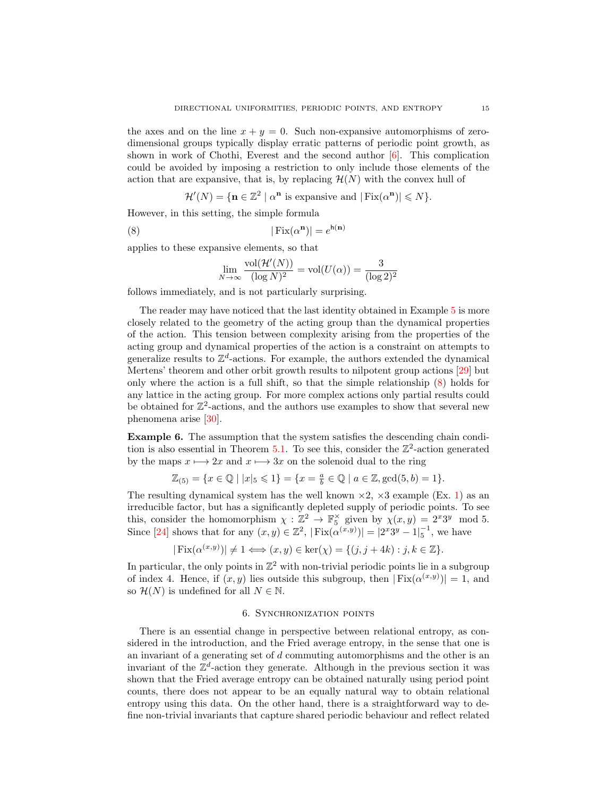the axes and on the line  $x + y = 0$ . Such non-expansive automorphisms of zerodimensional groups typically display erratic patterns of periodic point growth, as shown in work of Chothi, Everest and the second author  $[6]$ . This complication could be avoided by imposing a restriction to only include those elements of the action that are expansive, that is, by replacing  $\mathcal{H}(N)$  with the convex hull of

$$
\mathcal{H}'(N) = \{ \mathbf{n} \in \mathbb{Z}^2 \mid \alpha^{\mathbf{n}} \text{ is expensive and } |\operatorname{Fix}(\alpha^{\mathbf{n}})| \leqslant N \}.
$$

However, in this setting, the simple formula

(8) 
$$
|\operatorname{Fix}(\alpha^{\mathbf{n}})| = e^{\mathsf{h}(\mathbf{n})}
$$

applies to these expansive elements, so that

<span id="page-15-0"></span>
$$
\lim_{N \to \infty} \frac{\text{vol}(\mathcal{H}'(N))}{(\log N)^2} = \text{vol}(U(\alpha)) = \frac{3}{(\log 2)^2}
$$

follows immediately, and is not particularly surprising.

The reader may have noticed that the last identity obtained in Example [5](#page-14-0) is more closely related to the geometry of the acting group than the dynamical properties of the action. This tension between complexity arising from the properties of the acting group and dynamical properties of the action is a constraint on attempts to generalize results to  $\mathbb{Z}^d$ -actions. For example, the authors extended the dynamical Mertens' theorem and other orbit growth results to nilpotent group actions [\[29\]](#page-21-16) but only where the action is a full shift, so that the simple relationship [\(8\)](#page-15-0) holds for any lattice in the acting group. For more complex actions only partial results could be obtained for  $\mathbb{Z}^2$ -actions, and the authors use examples to show that several new phenomena arise [\[30\]](#page-21-17).

Example 6. The assumption that the system satisfies the descending chain condi-tion is also essential in Theorem [5.1.](#page-12-0) To see this, consider the  $\mathbb{Z}^2$ -action generated by the maps  $x \mapsto 2x$  and  $x \mapsto 3x$  on the solenoid dual to the ring

$$
\mathbb{Z}_{(5)} = \{x \in \mathbb{Q} \mid |x|_5 \leqslant 1\} = \{x = \frac{a}{b} \in \mathbb{Q} \mid a \in \mathbb{Z}, \gcd(5, b) = 1\}.
$$

The resulting dynamical system has the well known  $\times$ 2,  $\times$ 3 example (Ex. [1\)](#page-6-1) as an irreducible factor, but has a significantly depleted supply of periodic points. To see this, consider the homomorphism  $\chi : \mathbb{Z}^2 \to \mathbb{F}_5^\times$  given by  $\chi(x, y) = 2^x 3^y \mod 5$ . Since [\[24\]](#page-21-18) shows that for any  $(x, y) \in \mathbb{Z}^2$ ,  $|\text{Fix}(\alpha^{(x,y)})| = |2^x 3^y - 1|_5^{-1}$ , we have

$$
|\operatorname{Fix}(\alpha^{(x,y)})| \neq 1 \Longleftrightarrow (x,y) \in \ker(\chi) = \{(j,j+4k) : j,k \in \mathbb{Z}\}.
$$

In particular, the only points in  $\mathbb{Z}^2$  with non-trivial periodic points lie in a subgroup of index 4. Hence, if  $(x, y)$  lies outside this subgroup, then  $| Fix(\alpha^{(x,y)})| = 1$ , and so  $\mathcal{H}(N)$  is undefined for all  $N \in \mathbb{N}$ .

#### 6. Synchronization points

There is an essential change in perspective between relational entropy, as considered in the introduction, and the Fried average entropy, in the sense that one is an invariant of a generating set of d commuting automorphisms and the other is an invariant of the  $\mathbb{Z}^d$ -action they generate. Although in the previous section it was shown that the Fried average entropy can be obtained naturally using period point counts, there does not appear to be an equally natural way to obtain relational entropy using this data. On the other hand, there is a straightforward way to define non-trivial invariants that capture shared periodic behaviour and reflect related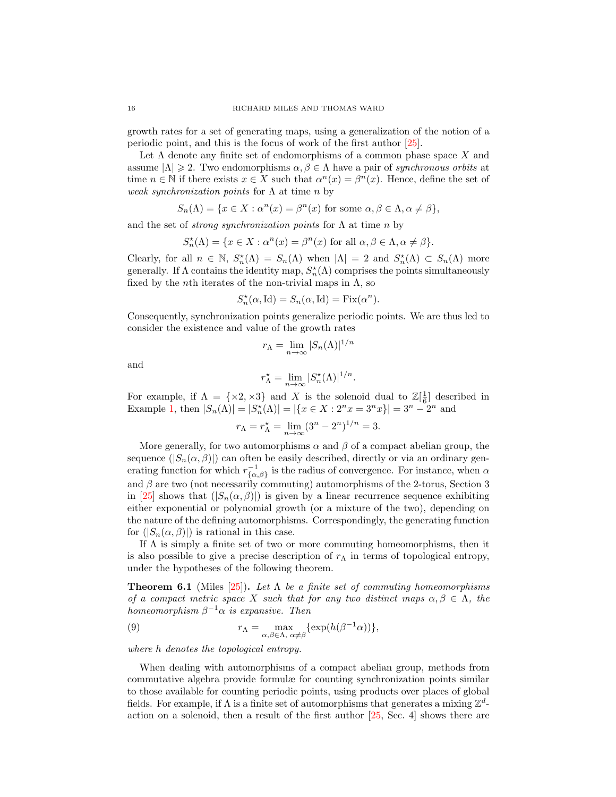growth rates for a set of generating maps, using a generalization of the notion of a periodic point, and this is the focus of work of the first author [\[25\]](#page-21-19).

Let  $\Lambda$  denote any finite set of endomorphisms of a common phase space X and assume  $|\Lambda| \geq 2$ . Two endomorphisms  $\alpha, \beta \in \Lambda$  have a pair of synchronous orbits at time  $n \in \mathbb{N}$  if there exists  $x \in X$  such that  $\alpha^{n}(x) = \beta^{n}(x)$ . Hence, define the set of weak synchronization points for  $\Lambda$  at time n by

$$
S_n(\Lambda) = \{ x \in X : \alpha^n(x) = \beta^n(x) \text{ for some } \alpha, \beta \in \Lambda, \alpha \neq \beta \},
$$

and the set of *strong synchronization points* for  $\Lambda$  at time n by

$$
S_n^{\star}(\Lambda) = \{ x \in X : \alpha^n(x) = \beta^n(x) \text{ for all } \alpha, \beta \in \Lambda, \alpha \neq \beta \}.
$$

Clearly, for all  $n \in \mathbb{N}$ ,  $S_n^{\star}(\Lambda) = S_n(\Lambda)$  when  $|\Lambda| = 2$  and  $S_n^{\star}(\Lambda) \subset S_n(\Lambda)$  more generally. If  $\Lambda$  contains the identity map,  $S_n^{\star}(\Lambda)$  comprises the points simultaneously fixed by the *n*th iterates of the non-trivial maps in  $\Lambda$ , so

$$
S_n^{\star}(\alpha, \mathrm{Id}) = S_n(\alpha, \mathrm{Id}) = \mathrm{Fix}(\alpha^n).
$$

Consequently, synchronization points generalize periodic points. We are thus led to consider the existence and value of the growth rates

$$
r_{\Lambda} = \lim_{n \to \infty} |S_n(\Lambda)|^{1/n}
$$

and

$$
r_{\Lambda}^* = \lim_{n \to \infty} |S_n^*(\Lambda)|^{1/n}.
$$

For example, if  $\Lambda = \{\times 2, \times 3\}$  and X is the solenoid dual to  $\mathbb{Z}[\frac{1}{6}]$  described in Example [1,](#page-6-1) then  $|S_n(\Lambda)| = |S_n^{\star}(\Lambda)| = |\{x \in X : 2^n x = 3^n x\}| = 3^n - 2^n$  and

$$
r_{\Lambda} = r_{\Lambda}^* = \lim_{n \to \infty} (3^n - 2^n)^{1/n} = 3.
$$

More generally, for two automorphisms  $\alpha$  and  $\beta$  of a compact abelian group, the sequence  $(|S_n(\alpha, \beta)|)$  can often be easily described, directly or via an ordinary generating function for which  $r_{\{\alpha,\beta\}}^{-1}$  is the radius of convergence. For instance, when  $\alpha$ and  $\beta$  are two (not necessarily commuting) automorphisms of the 2-torus, Section 3 in [\[25\]](#page-21-19) shows that  $(|S_n(\alpha, \beta)|)$  is given by a linear recurrence sequence exhibiting either exponential or polynomial growth (or a mixture of the two), depending on the nature of the defining automorphisms. Correspondingly, the generating function for  $(|S_n(\alpha, \beta)|)$  is rational in this case.

If  $\Lambda$  is simply a finite set of two or more commuting homeomorphisms, then it is also possible to give a precise description of  $r_\Lambda$  in terms of topological entropy, under the hypotheses of the following theorem.

**Theorem 6.1** (Miles [\[25\]](#page-21-19)). Let  $\Lambda$  be a finite set of commuting homeomorphisms of a compact metric space X such that for any two distinct maps  $\alpha, \beta \in \Lambda$ , the homeomorphism  $\beta^{-1}\alpha$  is expansive. Then

<span id="page-16-0"></span>(9) 
$$
r_{\Lambda} = \max_{\alpha,\beta \in \Lambda, \alpha \neq \beta} \{ \exp(h(\beta^{-1}\alpha)) \},
$$

where h denotes the topological entropy.

When dealing with automorphisms of a compact abelian group, methods from commutative algebra provide formulæ for counting synchronization points similar to those available for counting periodic points, using products over places of global fields. For example, if  $\Lambda$  is a finite set of automorphisms that generates a mixing  $\mathbb{Z}^d$ action on a solenoid, then a result of the first author [\[25,](#page-21-19) Sec. 4] shows there are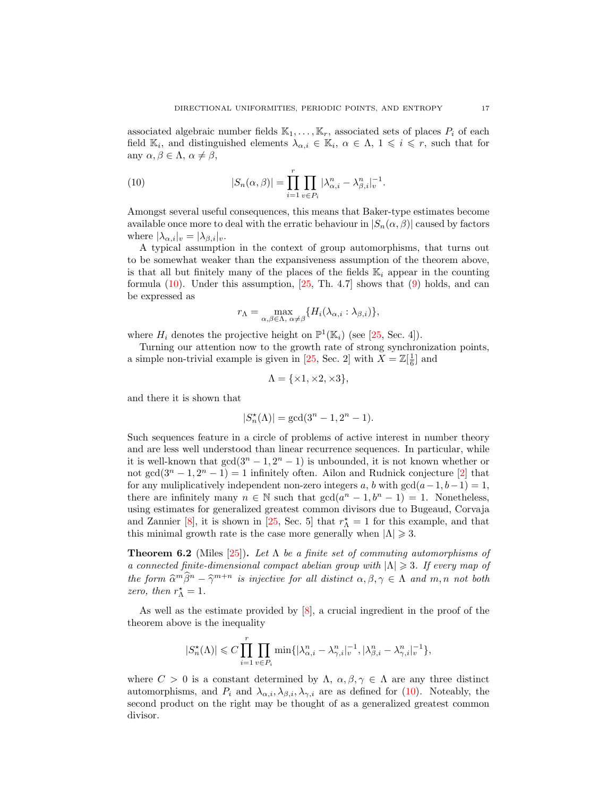associated algebraic number fields  $\mathbb{K}_1, \ldots, \mathbb{K}_r$ , associated sets of places  $P_i$  of each field  $\mathbb{K}_i$ , and distinguished elements  $\lambda_{\alpha,i} \in \mathbb{K}_i$ ,  $\alpha \in \Lambda$ ,  $1 \leq i \leq r$ , such that for any  $\alpha, \beta \in \Lambda$ ,  $\alpha \neq \beta$ ,

<span id="page-17-0"></span>(10) 
$$
|S_n(\alpha, \beta)| = \prod_{i=1}^r \prod_{v \in P_i} |\lambda_{\alpha, i}^n - \lambda_{\beta, i}^n|_v^{-1}.
$$

Amongst several useful consequences, this means that Baker-type estimates become available once more to deal with the erratic behaviour in  $|S_n(\alpha, \beta)|$  caused by factors where  $|\lambda_{\alpha,i}|_v = |\lambda_{\beta,i}|_v$ .

A typical assumption in the context of group automorphisms, that turns out to be somewhat weaker than the expansiveness assumption of the theorem above, is that all but finitely many of the places of the fields  $\mathbb{K}_i$  appear in the counting formula  $(10)$ . Under this assumption,  $[25, Th. 4.7]$  shows that  $(9)$  holds, and can be expressed as

$$
r_{\Lambda} = \max_{\alpha,\beta \in \Lambda, \alpha \neq \beta} \{ H_i(\lambda_{\alpha,i} : \lambda_{\beta,i}) \},\,
$$

where  $H_i$  denotes the projective height on  $\mathbb{P}^1(\mathbb{K}_i)$  (see [\[25,](#page-21-19) Sec. 4]).

Turning our attention now to the growth rate of strong synchronization points, a simple non-trivial example is given in [\[25,](#page-21-19) Sec. 2] with  $X = \mathbb{Z}[\frac{1}{6}]$  and

$$
\Lambda = \{ \times 1, \times 2, \times 3 \},
$$

and there it is shown that

$$
|S_n^\star(\Lambda)| = \gcd(3^n-1,2^n-1).
$$

Such sequences feature in a circle of problems of active interest in number theory and are less well understood than linear recurrence sequences. In particular, while it is well-known that  $gcd(3^n - 1, 2^n - 1)$  is unbounded, it is not known whether or not gcd( $3^n - 1$ ,  $2^n - 1$ ) = 1 infinitely often. Ailon and Rudnick conjecture [\[2\]](#page-20-13) that for any multiplicatively independent non-zero integers a, b with  $gcd(a-1, b-1) = 1$ , there are infinitely many  $n \in \mathbb{N}$  such that  $gcd(a^n - 1, b^n - 1) = 1$ . Nonetheless, using estimates for generalized greatest common divisors due to Bugeaud, Corvaja and Zannier [\[8\]](#page-20-14), it is shown in [\[25,](#page-21-19) Sec. 5] that  $r^{\star}$  = 1 for this example, and that this minimal growth rate is the case more generally when  $|\Lambda| \geq 3$ .

**Theorem 6.2** (Miles [\[25\]](#page-21-19)). Let  $\Lambda$  be a finite set of commuting automorphisms of a connected finite-dimensional compact abelian group with  $|\Lambda| \geq 3$ . If every map of the form  $\hat{\alpha}^m \hat{\beta}^n - \hat{\gamma}^{m+n}$  is injective for all distinct  $\alpha, \beta, \gamma \in \Lambda$  and  $m, n$  not both  $\gamma$ ero, then  $r^* = 1$ zero, then  $r^*_{\Lambda} = 1$ .

As well as the estimate provided by [\[8\]](#page-20-14), a crucial ingredient in the proof of the theorem above is the inequality

$$
|S_n^{\star}(\Lambda)| \leqslant C \prod_{i=1}^r \prod_{v \in P_i} \min\{|\lambda_{\alpha,i}^n - \lambda_{\gamma,i}^n|_v^{-1}, |\lambda_{\beta,i}^n - \lambda_{\gamma,i}^n|_v^{-1}\},\
$$

where  $C > 0$  is a constant determined by  $\Lambda$ ,  $\alpha, \beta, \gamma \in \Lambda$  are any three distinct automorphisms, and  $P_i$  and  $\lambda_{\alpha,i}, \lambda_{\beta,i}, \lambda_{\gamma,i}$  are as defined for [\(10\)](#page-17-0). Noteably, the second product on the right may be thought of as a generalized greatest common divisor.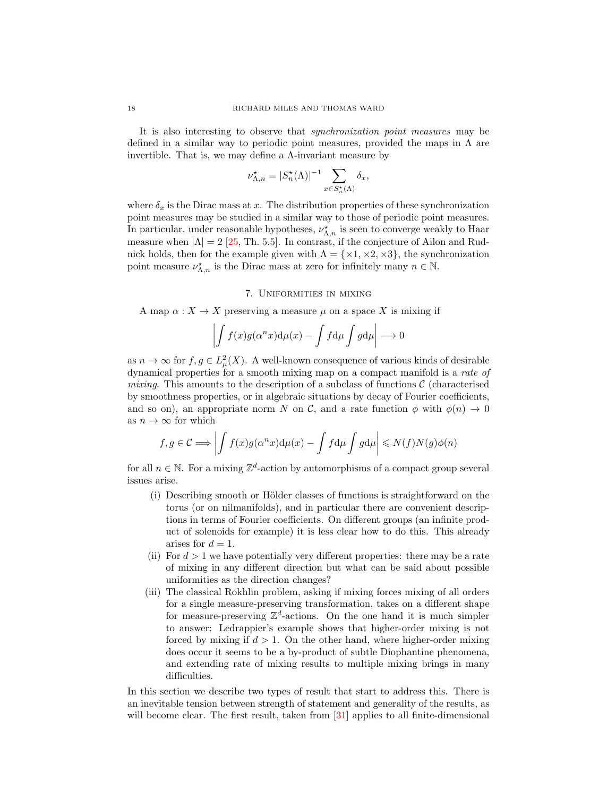It is also interesting to observe that synchronization point measures may be defined in a similar way to periodic point measures, provided the maps in  $\Lambda$  are invertible. That is, we may define a  $\Lambda$ -invariant measure by

$$
\nu_{\Lambda,n}^* = |S_n^*(\Lambda)|^{-1} \sum_{x \in S_n^*(\Lambda)} \delta_x,
$$

where  $\delta_x$  is the Dirac mass at x. The distribution properties of these synchronization point measures may be studied in a similar way to those of periodic point measures. In particular, under reasonable hypotheses,  $\nu_{\Lambda,n}^{\star}$  is seen to converge weakly to Haar measure when  $|\Lambda| = 2$  [\[25,](#page-21-19) Th. 5.5]. In contrast, if the conjecture of Ailon and Rudnick holds, then for the example given with  $\Lambda = \{ \times 1, \times 2, \times 3 \}$ , the synchronization point measure  $\nu_{\Lambda,n}^*$  is the Dirac mass at zero for infinitely many  $n \in \mathbb{N}$ .

#### 7. Uniformities in mixing

A map  $\alpha: X \to X$  preserving a measure  $\mu$  on a space X is mixing if

$$
\left| \int f(x)g(\alpha^n x) d\mu(x) - \int f d\mu \int g d\mu \right| \longrightarrow 0
$$

as  $n \to \infty$  for  $f, g \in L^2_{\mu}(X)$ . A well-known consequence of various kinds of desirable dynamical properties for a smooth mixing map on a compact manifold is a rate of mixing. This amounts to the description of a subclass of functions  $\mathcal C$  (characterised by smoothness properties, or in algebraic situations by decay of Fourier coefficients, and so on), an appropriate norm N on C, and a rate function  $\phi$  with  $\phi(n) \to 0$ as  $n\to\infty$  for which

$$
f, g \in \mathcal{C} \Longrightarrow \left| \int f(x)g(\alpha^n x) d\mu(x) - \int f d\mu \int g d\mu \right| \le N(f)N(g)\phi(n)
$$

for all  $n \in \mathbb{N}$ . For a mixing  $\mathbb{Z}^d$ -action by automorphisms of a compact group several issues arise.

- $(i)$  Describing smooth or Hölder classes of functions is straightforward on the torus (or on nilmanifolds), and in particular there are convenient descriptions in terms of Fourier coefficients. On different groups (an infinite product of solenoids for example) it is less clear how to do this. This already arises for  $d = 1$ .
- (ii) For  $d > 1$  we have potentially very different properties: there may be a rate of mixing in any different direction but what can be said about possible uniformities as the direction changes?
- (iii) The classical Rokhlin problem, asking if mixing forces mixing of all orders for a single measure-preserving transformation, takes on a different shape for measure-preserving  $\mathbb{Z}^d$ -actions. On the one hand it is much simpler to answer: Ledrappier's example shows that higher-order mixing is not forced by mixing if  $d > 1$ . On the other hand, where higher-order mixing does occur it seems to be a by-product of subtle Diophantine phenomena, and extending rate of mixing results to multiple mixing brings in many difficulties.

In this section we describe two types of result that start to address this. There is an inevitable tension between strength of statement and generality of the results, as will become clear. The first result, taken from [\[31\]](#page-21-20) applies to all finite-dimensional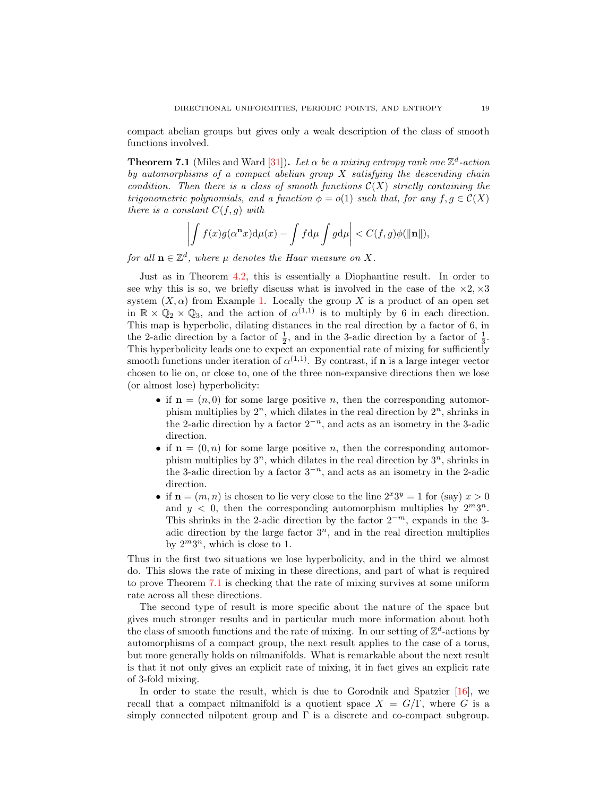compact abelian groups but gives only a weak description of the class of smooth functions involved.

<span id="page-19-0"></span>**Theorem 7.1** (Miles and Ward [\[31\]](#page-21-20)). Let  $\alpha$  be a mixing entropy rank one  $\mathbb{Z}^d$ -action by automorphisms of a compact abelian group  $X$  satisfying the descending chain condition. Then there is a class of smooth functions  $\mathcal{C}(X)$  strictly containing the trigonometric polynomials, and a function  $\phi = o(1)$  such that, for any  $f, g \in \mathcal{C}(X)$ there is a constant  $C(f, g)$  with

$$
\left| \int f(x)g(\alpha^{\mathbf{n}} x) d\mu(x) - \int f d\mu \int g d\mu \right| < C(f, g) \phi(\|\mathbf{n}\|),
$$

for all  $\mathbf{n} \in \mathbb{Z}^d$ , where  $\mu$  denotes the Haar measure on X.

Just as in Theorem [4.2,](#page-10-1) this is essentially a Diophantine result. In order to see why this is so, we briefly discuss what is involved in the case of the  $\times 2, \times 3$ system  $(X, \alpha)$  from Example [1.](#page-6-1) Locally the group X is a product of an open set in  $\mathbb{R} \times \mathbb{Q}_2 \times \mathbb{Q}_3$ , and the action of  $\alpha^{(1,1)}$  is to multiply by 6 in each direction. This map is hyperbolic, dilating distances in the real direction by a factor of 6, in the 2-adic direction by a factor of  $\frac{1}{2}$ , and in the 3-adic direction by a factor of  $\frac{1}{3}$ . This hyperbolicity leads one to expect an exponential rate of mixing for sufficiently smooth functions under iteration of  $\alpha^{(1,1)}$ . By contrast, if **n** is a large integer vector chosen to lie on, or close to, one of the three non-expansive directions then we lose (or almost lose) hyperbolicity:

- if  $\mathbf{n} = (n, 0)$  for some large positive n, then the corresponding automorphism multiplies by  $2^n$ , which dilates in the real direction by  $2^n$ , shrinks in the 2-adic direction by a factor  $2^{-n}$ , and acts as an isometry in the 3-adic direction.
- if  $\mathbf{n} = (0, n)$  for some large positive n, then the corresponding automorphism multiplies by  $3^n$ , which dilates in the real direction by  $3^n$ , shrinks in the 3-adic direction by a factor  $3^{-n}$ , and acts as an isometry in the 2-adic direction.
- if  $\mathbf{n} = (m, n)$  is chosen to lie very close to the line  $2^x 3^y = 1$  for (say)  $x > 0$ and  $y < 0$ , then the corresponding automorphism multiplies by  $2^m 3^n$ . This shrinks in the 2-adic direction by the factor  $2^{-m}$ , expands in the 3adic direction by the large factor  $3^n$ , and in the real direction multiplies by  $2^m 3^n$ , which is close to 1.

Thus in the first two situations we lose hyperbolicity, and in the third we almost do. This slows the rate of mixing in these directions, and part of what is required to prove Theorem [7.1](#page-19-0) is checking that the rate of mixing survives at some uniform rate across all these directions.

The second type of result is more specific about the nature of the space but gives much stronger results and in particular much more information about both the class of smooth functions and the rate of mixing. In our setting of  $\mathbb{Z}^d$ -actions by automorphisms of a compact group, the next result applies to the case of a torus, but more generally holds on nilmanifolds. What is remarkable about the next result is that it not only gives an explicit rate of mixing, it in fact gives an explicit rate of 3-fold mixing.

In order to state the result, which is due to Gorodnik and Spatzier [\[16\]](#page-20-15), we recall that a compact nilmanifold is a quotient space  $X = G/\Gamma$ , where G is a simply connected nilpotent group and  $\Gamma$  is a discrete and co-compact subgroup.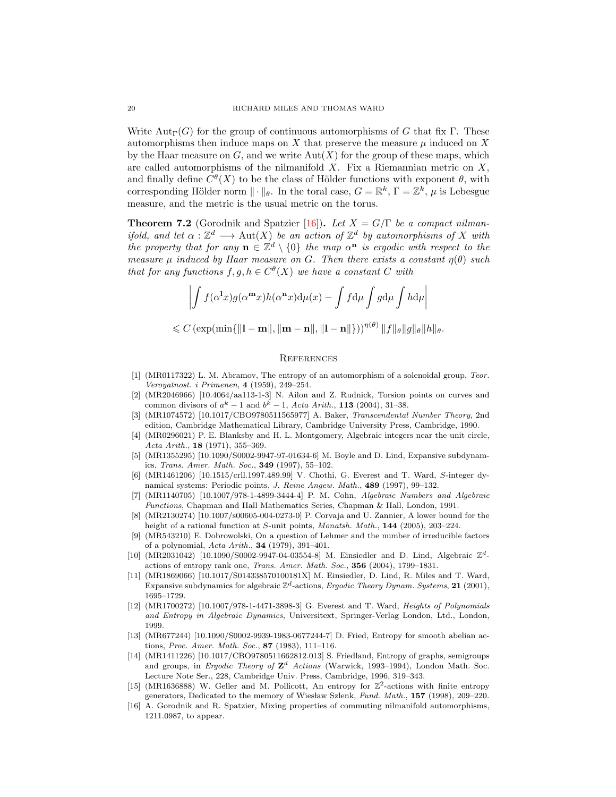Write  $\text{Aut}_{\Gamma}(G)$  for the group of continuous automorphisms of G that fix Γ. These automorphisms then induce maps on X that preserve the measure  $\mu$  induced on X by the Haar measure on  $G$ , and we write  $Aut(X)$  for the group of these maps, which are called automorphisms of the nilmanifold  $X$ . Fix a Riemannian metric on  $X$ , and finally define  $C^{\theta}(X)$  to be the class of Hölder functions with exponent  $\theta$ , with corresponding Hölder norm  $\|\cdot\|_{\theta}$ . In the toral case,  $G = \mathbb{R}^k$ ,  $\Gamma = \mathbb{Z}^k$ ,  $\mu$  is Lebesgue measure, and the metric is the usual metric on the torus.

**Theorem 7.2** (Gorodnik and Spatzier [\[16\]](#page-20-15)). Let  $X = G/\Gamma$  be a compact nilmanifold, and let  $\alpha : \mathbb{Z}^d \longrightarrow \text{Aut}(X)$  be an action of  $\mathbb{Z}^d$  by automorphisms of X with the property that for any  $\mathbf{n} \in \mathbb{Z}^d \setminus \{0\}$  the map  $\alpha^{\mathbf{n}}$  is ergodic with respect to the measure  $\mu$  induced by Haar measure on G. Then there exists a constant  $\eta(\theta)$  such that for any functions  $f, g, h \in C^{\theta}(X)$  we have a constant C with

$$
\left| \int f(\alpha^{\mathbf{l}} x) g(\alpha^{\mathbf{m}} x) h(\alpha^{\mathbf{n}} x) d\mu(x) - \int f d\mu \int g d\mu \int h d\mu \right|
$$

$$
\leqslant C \left(\exp(\min\{\|\mathbf{l}-\mathbf{m}\|,\|\mathbf{m}-\mathbf{n}\|,\|\mathbf{l}-\mathbf{n}\|\})\right)^{\eta(\theta)} \|f\|_{\theta} \|g\|_{\theta} \|h\|_{\theta}.
$$

#### **REFERENCES**

- <span id="page-20-4"></span>[1] (MR0117322) L. M. Abramov, The entropy of an automorphism of a solenoidal group, Teor. Veroyatnost. i Primenen, 4 (1959), 249–254.
- <span id="page-20-13"></span>[2] (MR2046966) [10.4064/aa113-1-3] N. Ailon and Z. Rudnick, Torsion points on curves and common divisors of  $a^k - 1$  and  $b^k - 1$ , Acta Arith., **113** (2004), 31–38.
- <span id="page-20-12"></span>[3] (MR1074572) [10.1017/CBO9780511565977] A. Baker, Transcendental Number Theory, 2nd edition, Cambridge Mathematical Library, Cambridge University Press, Cambridge, 1990.
- <span id="page-20-9"></span>[4] (MR0296021) P. E. Blanksby and H. L. Montgomery, Algebraic integers near the unit circle, Acta Arith.,  $18$  (1971), 355–369.
- <span id="page-20-0"></span>[5] (MR1355295) [10.1090/S0002-9947-97-01634-6] M. Boyle and D. Lind, Expansive subdynamics, Trans. Amer. Math. Soc., 349 (1997), 55–102.
- <span id="page-20-11"></span>[6] (MR1461206) [10.1515/crll.1997.489.99] V. Chothi, G. Everest and T. Ward, S-integer dynamical systems: Periodic points, J. Reine Angew. Math., 489 (1997), 99–132.
- <span id="page-20-3"></span>[7] (MR1140705) [10.1007/978-1-4899-3444-4] P. M. Cohn, Algebraic Numbers and Algebraic Functions, Chapman and Hall Mathematics Series, Chapman & Hall, London, 1991.
- <span id="page-20-14"></span>[8] (MR2130274) [10.1007/s00605-004-0273-0] P. Corvaja and U. Zannier, A lower bound for the height of a rational function at S-unit points, Monatsh. Math., 144 (2005), 203-224.
- <span id="page-20-10"></span>[9] (MR543210) E. Dobrowolski, On a question of Lehmer and the number of irreducible factors of a polynomial, Acta Arith., 34 (1979), 391–401.
- <span id="page-20-2"></span>[10] (MR2031042) [10.1090/S0002-9947-04-03554-8] M. Einsiedler and D. Lind, Algebraic  $\mathbb{Z}^d$ actions of entropy rank one, Trans. Amer. Math. Soc., 356 (2004), 1799–1831.
- <span id="page-20-1"></span>[11] (MR1869066) [10.1017/S014338570100181X] M. Einsiedler, D. Lind, R. Miles and T. Ward, Expansive subdynamics for algebraic  $\mathbb{Z}^d$ -actions, Ergodic Theory Dynam. Systems, 21 (2001), 1695–1729.
- <span id="page-20-8"></span>[12] (MR1700272) [10.1007/978-1-4471-3898-3] G. Everest and T. Ward, Heights of Polynomials and Entropy in Algebraic Dynamics, Universitext, Springer-Verlag London, Ltd., London, 1999.
- <span id="page-20-7"></span>[13] (MR677244) [10.1090/S0002-9939-1983-0677244-7] D. Fried, Entropy for smooth abelian actions, Proc. Amer. Math. Soc., 87 (1983), 111–116.
- <span id="page-20-5"></span>[14] (MR1411226) [10.1017/CBO9780511662812.013] S. Friedland, Entropy of graphs, semigroups and groups, in Ergodic Theory of  $\mathbb{Z}^d$  Actions (Warwick, 1993-1994), London Math. Soc. Lecture Note Ser., 228, Cambridge Univ. Press, Cambridge, 1996, 319–343.
- <span id="page-20-6"></span>[15] (MR1636888) W. Geller and M. Pollicott, An entropy for  $\mathbb{Z}^2$ -actions with finite entropy generators, Dedicated to the memory of Wiesław Szlenk, Fund. Math.,  $157$  (1998), 209–220.
- <span id="page-20-15"></span>[16] A. Gorodnik and R. Spatzier, Mixing properties of commuting nilmanifold automorphisms, 1211.0987, to appear.